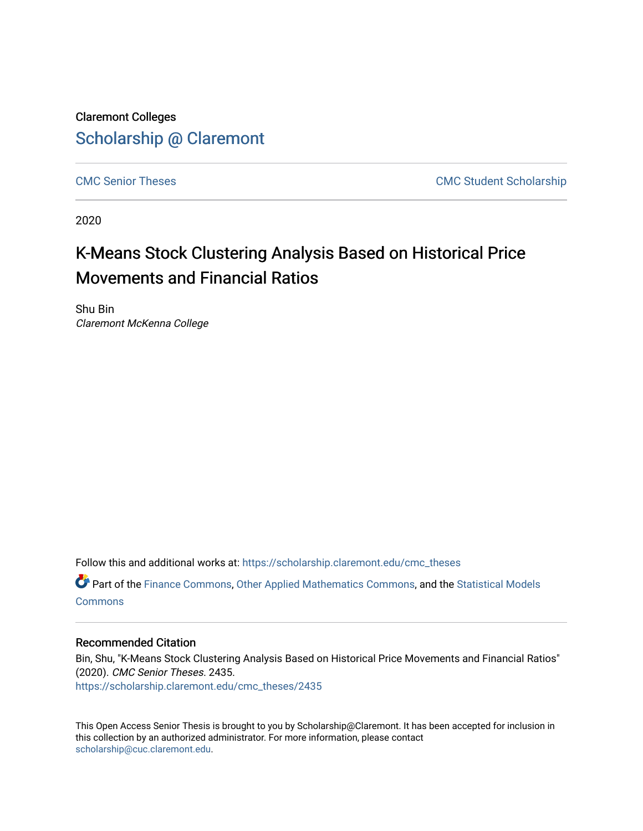Claremont Colleges [Scholarship @ Claremont](https://scholarship.claremont.edu/) 

[CMC Senior Theses](https://scholarship.claremont.edu/cmc_theses) CMC Student Scholarship

2020

## K-Means Stock Clustering Analysis Based on Historical Price Movements and Financial Ratios

Shu Bin Claremont McKenna College

Follow this and additional works at: [https://scholarship.claremont.edu/cmc\\_theses](https://scholarship.claremont.edu/cmc_theses?utm_source=scholarship.claremont.edu%2Fcmc_theses%2F2435&utm_medium=PDF&utm_campaign=PDFCoverPages) 

Part of the [Finance Commons,](http://network.bepress.com/hgg/discipline/345?utm_source=scholarship.claremont.edu%2Fcmc_theses%2F2435&utm_medium=PDF&utm_campaign=PDFCoverPages) [Other Applied Mathematics Commons](http://network.bepress.com/hgg/discipline/122?utm_source=scholarship.claremont.edu%2Fcmc_theses%2F2435&utm_medium=PDF&utm_campaign=PDFCoverPages), and the [Statistical Models](http://network.bepress.com/hgg/discipline/827?utm_source=scholarship.claremont.edu%2Fcmc_theses%2F2435&utm_medium=PDF&utm_campaign=PDFCoverPages)  **[Commons](http://network.bepress.com/hgg/discipline/827?utm_source=scholarship.claremont.edu%2Fcmc_theses%2F2435&utm_medium=PDF&utm_campaign=PDFCoverPages)** 

### Recommended Citation

Bin, Shu, "K-Means Stock Clustering Analysis Based on Historical Price Movements and Financial Ratios" (2020). CMC Senior Theses. 2435. [https://scholarship.claremont.edu/cmc\\_theses/2435](https://scholarship.claremont.edu/cmc_theses/2435?utm_source=scholarship.claremont.edu%2Fcmc_theses%2F2435&utm_medium=PDF&utm_campaign=PDFCoverPages) 

This Open Access Senior Thesis is brought to you by Scholarship@Claremont. It has been accepted for inclusion in this collection by an authorized administrator. For more information, please contact [scholarship@cuc.claremont.edu.](mailto:scholarship@cuc.claremont.edu)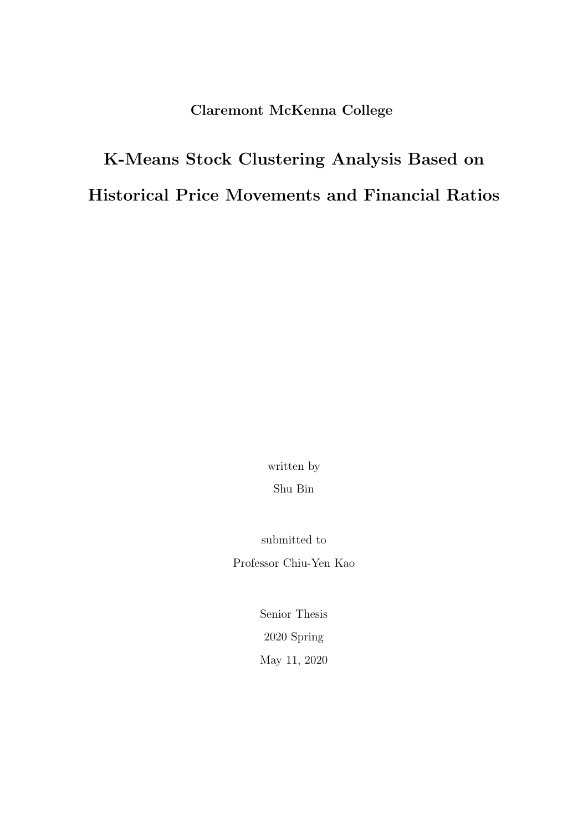Claremont McKenna College

# K-Means Stock Clustering Analysis Based on Historical Price Movements and Financial Ratios

written by Shu Bin

submitted to Professor Chiu-Yen Kao

> Senior Thesis 2020 Spring May 11, 2020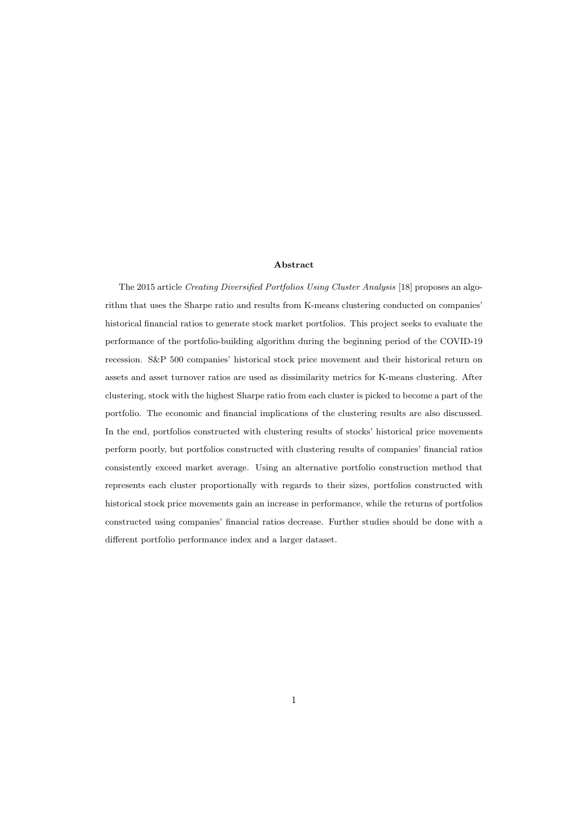#### Abstract

The 2015 article Creating Diversified Portfolios Using Cluster Analysis [18] proposes an algorithm that uses the Sharpe ratio and results from K-means clustering conducted on companies' historical financial ratios to generate stock market portfolios. This project seeks to evaluate the performance of the portfolio-building algorithm during the beginning period of the COVID-19 recession. S&P 500 companies' historical stock price movement and their historical return on assets and asset turnover ratios are used as dissimilarity metrics for K-means clustering. After clustering, stock with the highest Sharpe ratio from each cluster is picked to become a part of the portfolio. The economic and financial implications of the clustering results are also discussed. In the end, portfolios constructed with clustering results of stocks' historical price movements perform poorly, but portfolios constructed with clustering results of companies' financial ratios consistently exceed market average. Using an alternative portfolio construction method that represents each cluster proportionally with regards to their sizes, portfolios constructed with historical stock price movements gain an increase in performance, while the returns of portfolios constructed using companies' financial ratios decrease. Further studies should be done with a different portfolio performance index and a larger dataset.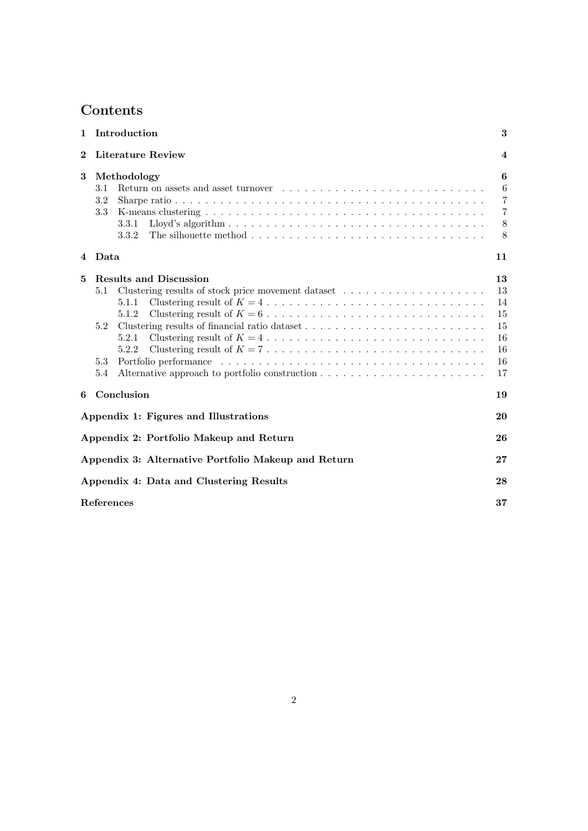## Contents

| $\mathbf{1}$ | Introduction                                                                                                                                   | 3                                                    |
|--------------|------------------------------------------------------------------------------------------------------------------------------------------------|------------------------------------------------------|
| $\bf{2}$     | Literature Review                                                                                                                              | $\overline{4}$                                       |
| 3            | Methodology<br>3.1<br>3.2<br>3.3<br>3.3.1<br>3.3.2                                                                                             | 6<br>6<br>$\overline{7}$<br>$\overline{7}$<br>8<br>8 |
|              | 4 Data                                                                                                                                         | 11                                                   |
| 5            | <b>Results and Discussion</b><br>5.1<br>5.1.1<br>5.1.2<br>Clustering results of financial ratio dataset<br>5.2<br>5.2.1<br>5.2.2<br>5.3<br>5.4 | 13<br>13<br>14<br>15<br>15<br>16<br>16<br>16<br>17   |
| 6            | Conclusion                                                                                                                                     | 19                                                   |
|              | Appendix 1: Figures and Illustrations                                                                                                          | 20                                                   |
|              | Appendix 2: Portfolio Makeup and Return                                                                                                        | 26                                                   |
|              | Appendix 3: Alternative Portfolio Makeup and Return                                                                                            | 27                                                   |
|              | Appendix 4: Data and Clustering Results                                                                                                        | 28                                                   |
|              | References                                                                                                                                     | 37                                                   |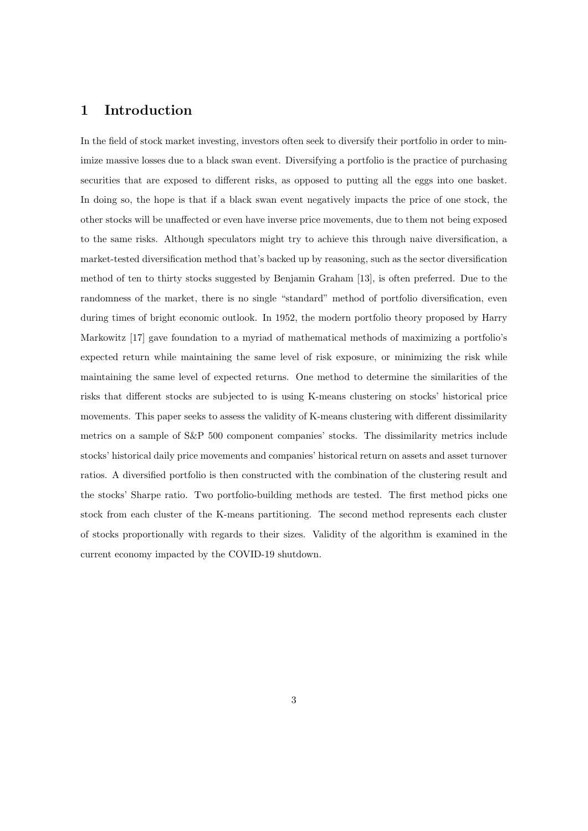## 1 Introduction

In the field of stock market investing, investors often seek to diversify their portfolio in order to minimize massive losses due to a black swan event. Diversifying a portfolio is the practice of purchasing securities that are exposed to different risks, as opposed to putting all the eggs into one basket. In doing so, the hope is that if a black swan event negatively impacts the price of one stock, the other stocks will be unaffected or even have inverse price movements, due to them not being exposed to the same risks. Although speculators might try to achieve this through naive diversification, a market-tested diversification method that's backed up by reasoning, such as the sector diversification method of ten to thirty stocks suggested by Benjamin Graham [13], is often preferred. Due to the randomness of the market, there is no single "standard" method of portfolio diversification, even during times of bright economic outlook. In 1952, the modern portfolio theory proposed by Harry Markowitz [17] gave foundation to a myriad of mathematical methods of maximizing a portfolio's expected return while maintaining the same level of risk exposure, or minimizing the risk while maintaining the same level of expected returns. One method to determine the similarities of the risks that different stocks are subjected to is using K-means clustering on stocks' historical price movements. This paper seeks to assess the validity of K-means clustering with different dissimilarity metrics on a sample of S&P 500 component companies' stocks. The dissimilarity metrics include stocks' historical daily price movements and companies' historical return on assets and asset turnover ratios. A diversified portfolio is then constructed with the combination of the clustering result and the stocks' Sharpe ratio. Two portfolio-building methods are tested. The first method picks one stock from each cluster of the K-means partitioning. The second method represents each cluster of stocks proportionally with regards to their sizes. Validity of the algorithm is examined in the current economy impacted by the COVID-19 shutdown.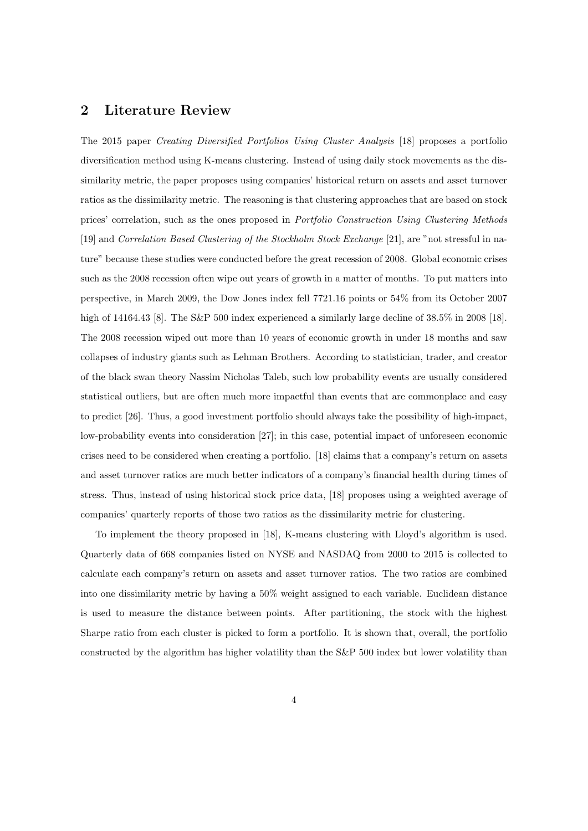### 2 Literature Review

The 2015 paper Creating Diversified Portfolios Using Cluster Analysis [18] proposes a portfolio diversification method using K-means clustering. Instead of using daily stock movements as the dissimilarity metric, the paper proposes using companies' historical return on assets and asset turnover ratios as the dissimilarity metric. The reasoning is that clustering approaches that are based on stock prices' correlation, such as the ones proposed in Portfolio Construction Using Clustering Methods [19] and Correlation Based Clustering of the Stockholm Stock Exchange [21], are "not stressful in nature" because these studies were conducted before the great recession of 2008. Global economic crises such as the 2008 recession often wipe out years of growth in a matter of months. To put matters into perspective, in March 2009, the Dow Jones index fell 7721.16 points or 54% from its October 2007 high of 14164.43 [8]. The S&P 500 index experienced a similarly large decline of  $38.5\%$  in 2008 [18]. The 2008 recession wiped out more than 10 years of economic growth in under 18 months and saw collapses of industry giants such as Lehman Brothers. According to statistician, trader, and creator of the black swan theory Nassim Nicholas Taleb, such low probability events are usually considered statistical outliers, but are often much more impactful than events that are commonplace and easy to predict [26]. Thus, a good investment portfolio should always take the possibility of high-impact, low-probability events into consideration [27]; in this case, potential impact of unforeseen economic crises need to be considered when creating a portfolio. [18] claims that a company's return on assets and asset turnover ratios are much better indicators of a company's financial health during times of stress. Thus, instead of using historical stock price data, [18] proposes using a weighted average of companies' quarterly reports of those two ratios as the dissimilarity metric for clustering.

To implement the theory proposed in [18], K-means clustering with Lloyd's algorithm is used. Quarterly data of 668 companies listed on NYSE and NASDAQ from 2000 to 2015 is collected to calculate each company's return on assets and asset turnover ratios. The two ratios are combined into one dissimilarity metric by having a 50% weight assigned to each variable. Euclidean distance is used to measure the distance between points. After partitioning, the stock with the highest Sharpe ratio from each cluster is picked to form a portfolio. It is shown that, overall, the portfolio constructed by the algorithm has higher volatility than the S&P 500 index but lower volatility than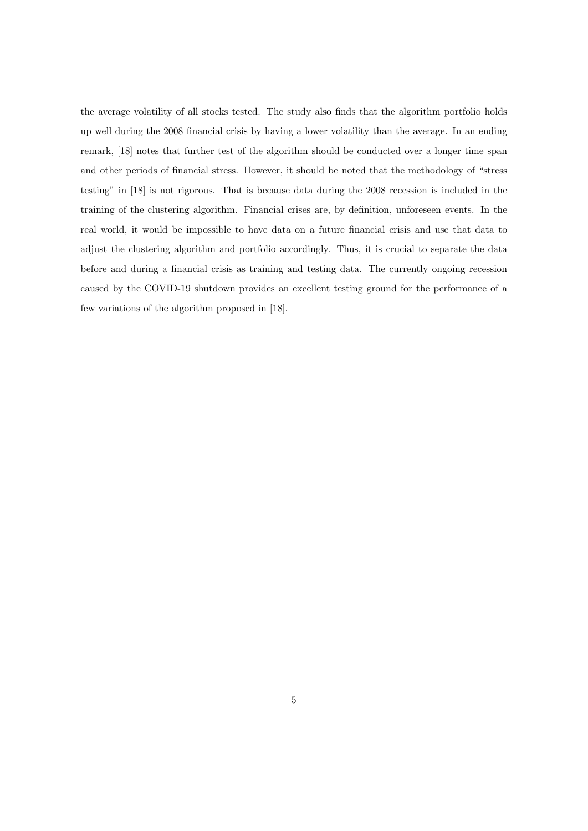the average volatility of all stocks tested. The study also finds that the algorithm portfolio holds up well during the 2008 financial crisis by having a lower volatility than the average. In an ending remark, [18] notes that further test of the algorithm should be conducted over a longer time span and other periods of financial stress. However, it should be noted that the methodology of "stress testing" in [18] is not rigorous. That is because data during the 2008 recession is included in the training of the clustering algorithm. Financial crises are, by definition, unforeseen events. In the real world, it would be impossible to have data on a future financial crisis and use that data to adjust the clustering algorithm and portfolio accordingly. Thus, it is crucial to separate the data before and during a financial crisis as training and testing data. The currently ongoing recession caused by the COVID-19 shutdown provides an excellent testing ground for the performance of a few variations of the algorithm proposed in [18].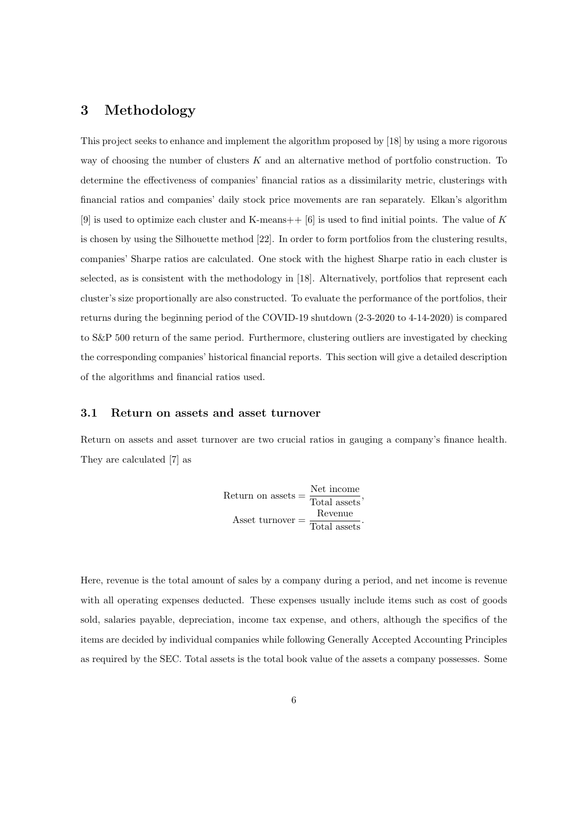## 3 Methodology

This project seeks to enhance and implement the algorithm proposed by [18] by using a more rigorous way of choosing the number of clusters  $K$  and an alternative method of portfolio construction. To determine the effectiveness of companies' financial ratios as a dissimilarity metric, clusterings with financial ratios and companies' daily stock price movements are ran separately. Elkan's algorithm [9] is used to optimize each cluster and K-means  $+$  [6] is used to find initial points. The value of K is chosen by using the Silhouette method [22]. In order to form portfolios from the clustering results, companies' Sharpe ratios are calculated. One stock with the highest Sharpe ratio in each cluster is selected, as is consistent with the methodology in [18]. Alternatively, portfolios that represent each cluster's size proportionally are also constructed. To evaluate the performance of the portfolios, their returns during the beginning period of the COVID-19 shutdown (2-3-2020 to 4-14-2020) is compared to S&P 500 return of the same period. Furthermore, clustering outliers are investigated by checking the corresponding companies' historical financial reports. This section will give a detailed description of the algorithms and financial ratios used.

#### 3.1 Return on assets and asset turnover

Return on assets and asset turnover are two crucial ratios in gauging a company's finance health. They are calculated [7] as

Return on assets = 
$$
\frac{\text{Net income}}{\text{Total assets}}
$$
,   
\nAsset turnover =  $\frac{\text{Revenue}}{\text{Total assets}}$ .

Here, revenue is the total amount of sales by a company during a period, and net income is revenue with all operating expenses deducted. These expenses usually include items such as cost of goods sold, salaries payable, depreciation, income tax expense, and others, although the specifics of the items are decided by individual companies while following Generally Accepted Accounting Principles as required by the SEC. Total assets is the total book value of the assets a company possesses. Some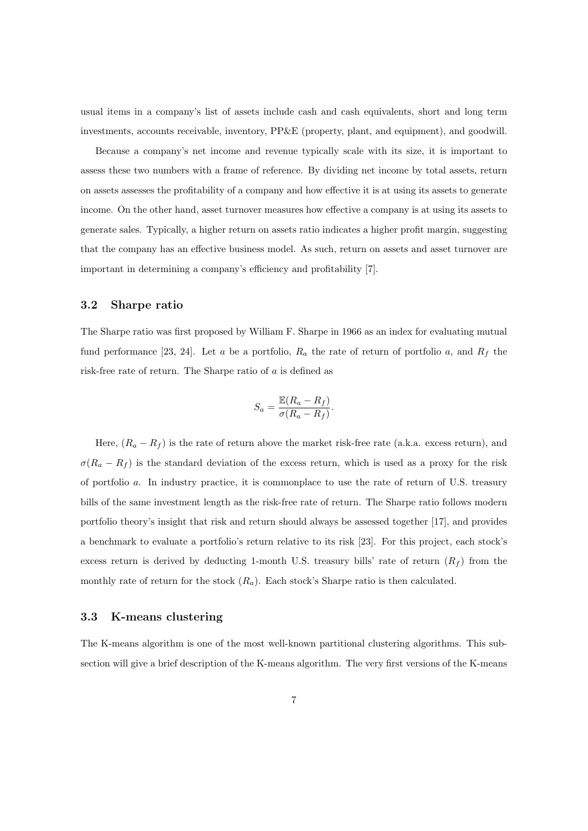usual items in a company's list of assets include cash and cash equivalents, short and long term investments, accounts receivable, inventory, PP&E (property, plant, and equipment), and goodwill.

Because a company's net income and revenue typically scale with its size, it is important to assess these two numbers with a frame of reference. By dividing net income by total assets, return on assets assesses the profitability of a company and how effective it is at using its assets to generate income. On the other hand, asset turnover measures how effective a company is at using its assets to generate sales. Typically, a higher return on assets ratio indicates a higher profit margin, suggesting that the company has an effective business model. As such, return on assets and asset turnover are important in determining a company's efficiency and profitability [7].

#### 3.2 Sharpe ratio

The Sharpe ratio was first proposed by William F. Sharpe in 1966 as an index for evaluating mutual fund performance [23, 24]. Let a be a portfolio,  $R_a$  the rate of return of portfolio a, and  $R_f$  the risk-free rate of return. The Sharpe ratio of a is defined as

$$
S_a = \frac{\mathbb{E}(R_a - R_f)}{\sigma(R_a - R_f)}.
$$

Here,  $(R_a - R_f)$  is the rate of return above the market risk-free rate (a.k.a. excess return), and  $\sigma(R_a - R_f)$  is the standard deviation of the excess return, which is used as a proxy for the risk of portfolio a. In industry practice, it is commonplace to use the rate of return of U.S. treasury bills of the same investment length as the risk-free rate of return. The Sharpe ratio follows modern portfolio theory's insight that risk and return should always be assessed together [17], and provides a benchmark to evaluate a portfolio's return relative to its risk [23]. For this project, each stock's excess return is derived by deducting 1-month U.S. treasury bills' rate of return  $(R_f)$  from the monthly rate of return for the stock  $(R_a)$ . Each stock's Sharpe ratio is then calculated.

#### 3.3 K-means clustering

The K-means algorithm is one of the most well-known partitional clustering algorithms. This subsection will give a brief description of the K-means algorithm. The very first versions of the K-means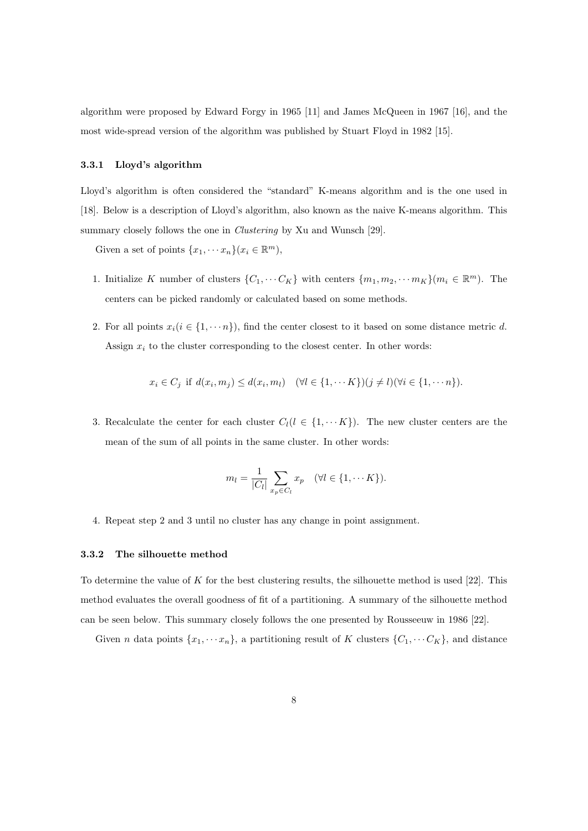algorithm were proposed by Edward Forgy in 1965 [11] and James McQueen in 1967 [16], and the most wide-spread version of the algorithm was published by Stuart Floyd in 1982 [15].

#### 3.3.1 Lloyd's algorithm

Lloyd's algorithm is often considered the "standard" K-means algorithm and is the one used in [18]. Below is a description of Lloyd's algorithm, also known as the naive K-means algorithm. This summary closely follows the one in *Clustering* by Xu and Wunsch [29].

Given a set of points  $\{x_1, \dots x_n\}$  $(x_i \in \mathbb{R}^m)$ ,

- 1. Initialize K number of clusters  $\{C_1, \cdots C_K\}$  with centers  $\{m_1, m_2, \cdots m_K\}(m_i \in \mathbb{R}^m)$ . The centers can be picked randomly or calculated based on some methods.
- 2. For all points  $x_i(i \in \{1, \dots n\})$ , find the center closest to it based on some distance metric d. Assign  $x_i$  to the cluster corresponding to the closest center. In other words:

$$
x_i \in C_j \text{ if } d(x_i, m_j) \leq d(x_i, m_l) \quad (\forall l \in \{1, \cdots K\}) (j \neq l) (\forall i \in \{1, \cdots n\}).
$$

3. Recalculate the center for each cluster  $C_l(l \in \{1, \cdots K\})$ . The new cluster centers are the mean of the sum of all points in the same cluster. In other words:

$$
m_l = \frac{1}{|C_l|} \sum_{x_p \in C_l} x_p \quad (\forall l \in \{1, \cdots K\}).
$$

4. Repeat step 2 and 3 until no cluster has any change in point assignment.

#### 3.3.2 The silhouette method

To determine the value of K for the best clustering results, the silhouette method is used  $[22]$ . This method evaluates the overall goodness of fit of a partitioning. A summary of the silhouette method can be seen below. This summary closely follows the one presented by Rousseeuw in 1986 [22].

Given *n* data points  $\{x_1, \dots, x_n\}$ , a partitioning result of K clusters  $\{C_1, \dots, C_K\}$ , and distance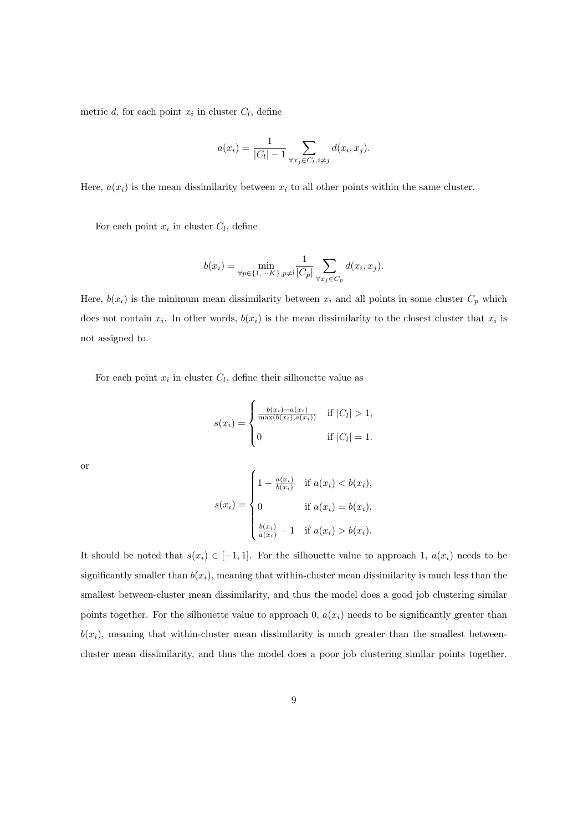metric d, for each point  $x_i$  in cluster  $C_l$ , define

$$
a(x_i) = \frac{1}{|C_l| - 1} \sum_{\forall x_j \in C_l, i \neq j} d(x_i, x_j).
$$

Here,  $a(x_i)$  is the mean dissimilarity between  $x_i$  to all other points within the same cluster.

For each point  $x_i$  in cluster  $C_l$ , define

$$
b(x_i) = \min_{\forall p \in \{1, \cdots K\}, p \neq l} \frac{1}{|C_p|} \sum_{\forall x_j \in C_p} d(x_i, x_j).
$$

Here,  $b(x_i)$  is the minimum mean dissimilarity between  $x_i$  and all points in some cluster  $C_p$  which does not contain  $x_i$ . In other words,  $b(x_i)$  is the mean dissimilarity to the closest cluster that  $x_i$  is not assigned to.

For each point  $x_i$  in cluster  $C_l$ , define their silhouette value as

$$
s(x_i) = \begin{cases} \frac{b(x_i) - a(x_i)}{\max(b(x_i), a(x_i))} & \text{if } |C_l| > 1, \\ 0 & \text{if } |C_l| = 1. \end{cases}
$$

or

$$
s(x_i) = \begin{cases} 1 - \frac{a(x_i)}{b(x_i)} & \text{if } a(x_i) < b(x_i), \\ 0 & \text{if } a(x_i) = b(x_i), \\ \frac{b(x_i)}{a(x_i)} - 1 & \text{if } a(x_i) > b(x_i). \end{cases}
$$

It should be noted that  $s(x_i) \in [-1,1]$ . For the silhouette value to approach 1,  $a(x_i)$  needs to be significantly smaller than  $b(x_i)$ , meaning that within-cluster mean dissimilarity is much less than the smallest between-cluster mean dissimilarity, and thus the model does a good job clustering similar points together. For the silhouette value to approach 0,  $a(x_i)$  needs to be significantly greater than  $b(x_i)$ , meaning that within-cluster mean dissimilarity is much greater than the smallest betweencluster mean dissimilarity, and thus the model does a poor job clustering similar points together.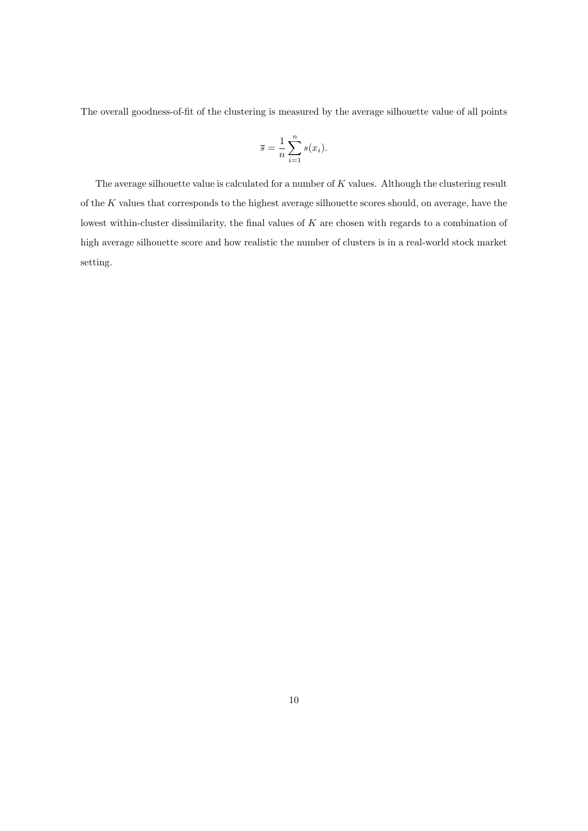The overall goodness-of-fit of the clustering is measured by the average silhouette value of all points

$$
\overline{s} = \frac{1}{n} \sum_{i=1}^{n} s(x_i).
$$

The average silhouette value is calculated for a number of  $K$  values. Although the clustering result of the K values that corresponds to the highest average silhouette scores should, on average, have the lowest within-cluster dissimilarity, the final values of K are chosen with regards to a combination of high average silhouette score and how realistic the number of clusters is in a real-world stock market setting.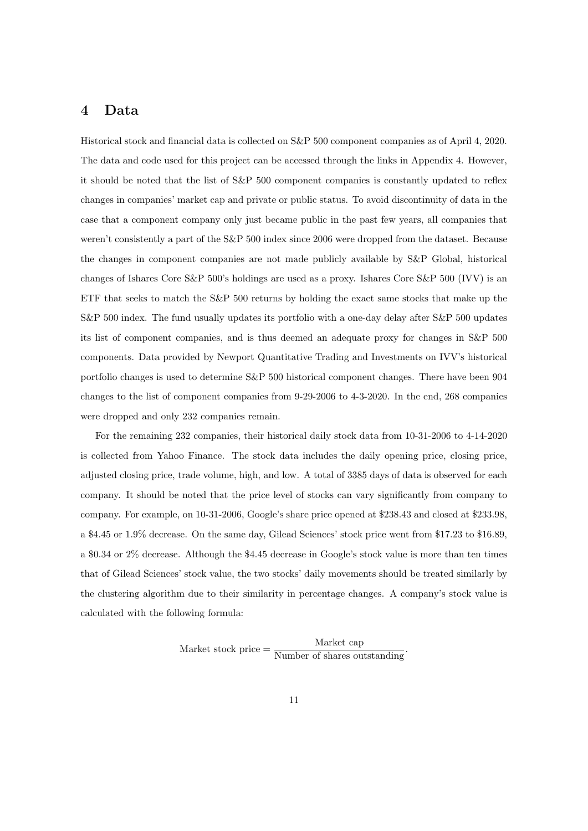## 4 Data

Historical stock and financial data is collected on S&P 500 component companies as of April 4, 2020. The data and code used for this project can be accessed through the links in Appendix 4. However, it should be noted that the list of S&P 500 component companies is constantly updated to reflex changes in companies' market cap and private or public status. To avoid discontinuity of data in the case that a component company only just became public in the past few years, all companies that weren't consistently a part of the S&P 500 index since 2006 were dropped from the dataset. Because the changes in component companies are not made publicly available by S&P Global, historical changes of Ishares Core S&P 500's holdings are used as a proxy. Ishares Core S&P 500 (IVV) is an ETF that seeks to match the S&P 500 returns by holding the exact same stocks that make up the S&P 500 index. The fund usually updates its portfolio with a one-day delay after S&P 500 updates its list of component companies, and is thus deemed an adequate proxy for changes in S&P 500 components. Data provided by Newport Quantitative Trading and Investments on IVV's historical portfolio changes is used to determine S&P 500 historical component changes. There have been 904 changes to the list of component companies from 9-29-2006 to 4-3-2020. In the end, 268 companies were dropped and only 232 companies remain.

For the remaining 232 companies, their historical daily stock data from 10-31-2006 to 4-14-2020 is collected from Yahoo Finance. The stock data includes the daily opening price, closing price, adjusted closing price, trade volume, high, and low. A total of 3385 days of data is observed for each company. It should be noted that the price level of stocks can vary significantly from company to company. For example, on 10-31-2006, Google's share price opened at \$238.43 and closed at \$233.98, a \$4.45 or 1.9% decrease. On the same day, Gilead Sciences' stock price went from \$17.23 to \$16.89, a \$0.34 or 2% decrease. Although the \$4.45 decrease in Google's stock value is more than ten times that of Gilead Sciences' stock value, the two stocks' daily movements should be treated similarly by the clustering algorithm due to their similarity in percentage changes. A company's stock value is calculated with the following formula:

Market stock price  $=$   $\frac{\text{Market cap}}{\text{Number of shares outstanding}}$ .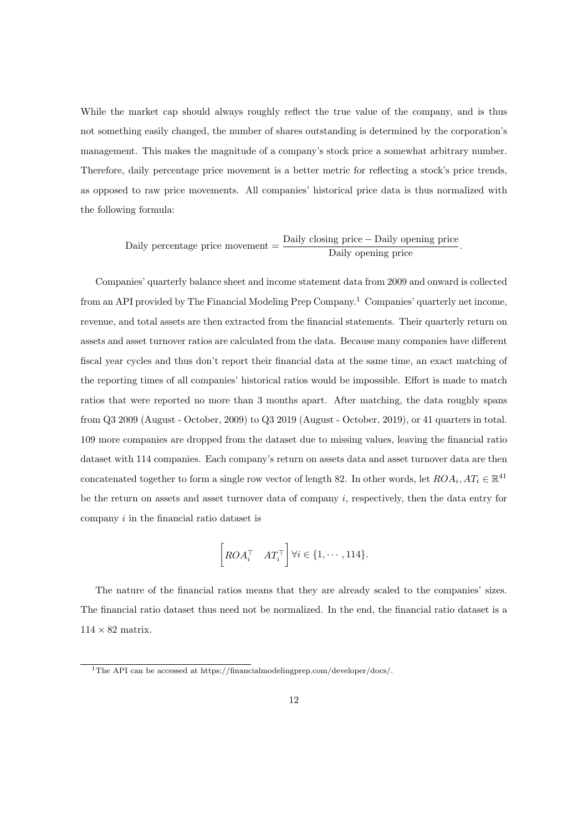While the market cap should always roughly reflect the true value of the company, and is thus not something easily changed, the number of shares outstanding is determined by the corporation's management. This makes the magnitude of a company's stock price a somewhat arbitrary number. Therefore, daily percentage price movement is a better metric for reflecting a stock's price trends, as opposed to raw price movements. All companies' historical price data is thus normalized with the following formula:

Daily percentage price movement  $=$   $\frac{\text{Daily closing price} - \text{Daily opening price}}{\text{Daily opening price}}$ .

Companies' quarterly balance sheet and income statement data from 2009 and onward is collected from an API provided by The Financial Modeling Prep Company.<sup>1</sup> Companies' quarterly net income, revenue, and total assets are then extracted from the financial statements. Their quarterly return on assets and asset turnover ratios are calculated from the data. Because many companies have different fiscal year cycles and thus don't report their financial data at the same time, an exact matching of the reporting times of all companies' historical ratios would be impossible. Effort is made to match ratios that were reported no more than 3 months apart. After matching, the data roughly spans from Q3 2009 (August - October, 2009) to Q3 2019 (August - October, 2019), or 41 quarters in total. 109 more companies are dropped from the dataset due to missing values, leaving the financial ratio dataset with 114 companies. Each company's return on assets data and asset turnover data are then concatenated together to form a single row vector of length 82. In other words, let  $ROA_i$ ,  $AT_i \in \mathbb{R}^{41}$ be the return on assets and asset turnover data of company i, respectively, then the data entry for company i in the financial ratio dataset is

$$
\left[ROA_i^\top \quad AT_i^\top\right] \forall i \in \{1, \cdots, 114\}.
$$

The nature of the financial ratios means that they are already scaled to the companies' sizes. The financial ratio dataset thus need not be normalized. In the end, the financial ratio dataset is a  $114 \times 82$  matrix.

<sup>1</sup>The API can be accessed at https://financialmodelingprep.com/developer/docs/.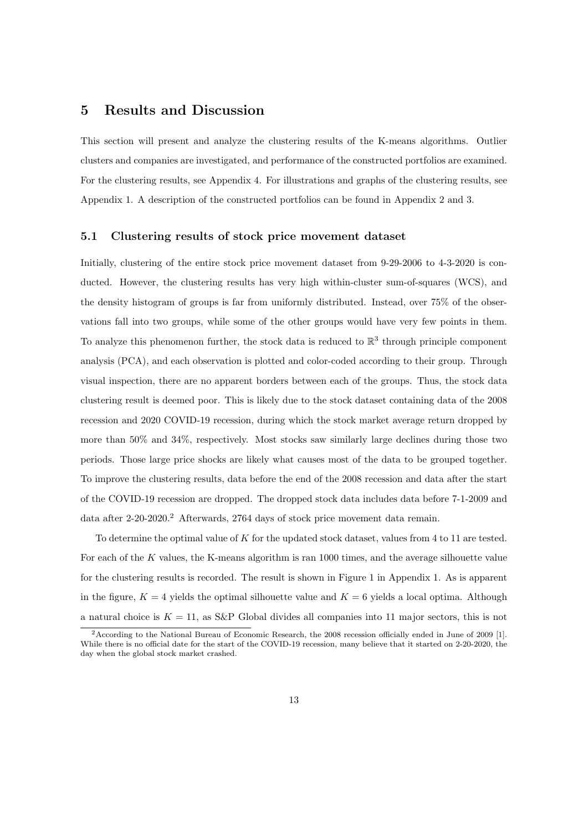### 5 Results and Discussion

This section will present and analyze the clustering results of the K-means algorithms. Outlier clusters and companies are investigated, and performance of the constructed portfolios are examined. For the clustering results, see Appendix 4. For illustrations and graphs of the clustering results, see Appendix 1. A description of the constructed portfolios can be found in Appendix 2 and 3.

### 5.1 Clustering results of stock price movement dataset

Initially, clustering of the entire stock price movement dataset from 9-29-2006 to 4-3-2020 is conducted. However, the clustering results has very high within-cluster sum-of-squares (WCS), and the density histogram of groups is far from uniformly distributed. Instead, over 75% of the observations fall into two groups, while some of the other groups would have very few points in them. To analyze this phenomenon further, the stock data is reduced to  $\mathbb{R}^3$  through principle component analysis (PCA), and each observation is plotted and color-coded according to their group. Through visual inspection, there are no apparent borders between each of the groups. Thus, the stock data clustering result is deemed poor. This is likely due to the stock dataset containing data of the 2008 recession and 2020 COVID-19 recession, during which the stock market average return dropped by more than 50% and 34%, respectively. Most stocks saw similarly large declines during those two periods. Those large price shocks are likely what causes most of the data to be grouped together. To improve the clustering results, data before the end of the 2008 recession and data after the start of the COVID-19 recession are dropped. The dropped stock data includes data before 7-1-2009 and data after 2-20-2020.<sup>2</sup> Afterwards, 2764 days of stock price movement data remain.

To determine the optimal value of K for the updated stock dataset, values from 4 to 11 are tested. For each of the K values, the K-means algorithm is ran 1000 times, and the average silhouette value for the clustering results is recorded. The result is shown in Figure 1 in Appendix 1. As is apparent in the figure,  $K = 4$  yields the optimal silhouette value and  $K = 6$  yields a local optima. Although a natural choice is  $K = 11$ , as S&P Global divides all companies into 11 major sectors, this is not

<sup>2</sup>According to the National Bureau of Economic Research, the 2008 recession officially ended in June of 2009 [1]. While there is no official date for the start of the COVID-19 recession, many believe that it started on 2-20-2020, the day when the global stock market crashed.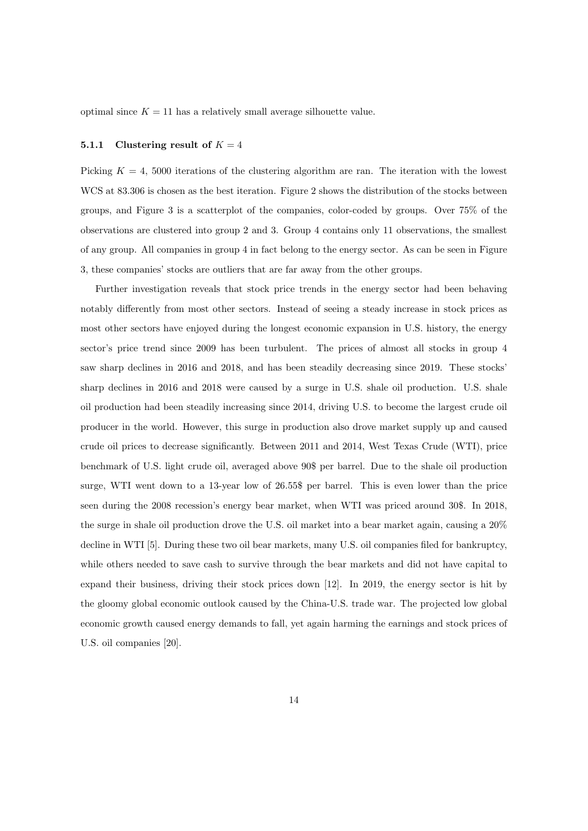optimal since  $K = 11$  has a relatively small average silhouette value.

#### 5.1.1 Clustering result of  $K = 4$

Picking  $K = 4$ , 5000 iterations of the clustering algorithm are ran. The iteration with the lowest WCS at  $83.306$  is chosen as the best iteration. Figure 2 shows the distribution of the stocks between groups, and Figure 3 is a scatterplot of the companies, color-coded by groups. Over 75% of the observations are clustered into group 2 and 3. Group 4 contains only 11 observations, the smallest of any group. All companies in group 4 in fact belong to the energy sector. As can be seen in Figure 3, these companies' stocks are outliers that are far away from the other groups.

Further investigation reveals that stock price trends in the energy sector had been behaving notably differently from most other sectors. Instead of seeing a steady increase in stock prices as most other sectors have enjoyed during the longest economic expansion in U.S. history, the energy sector's price trend since 2009 has been turbulent. The prices of almost all stocks in group 4 saw sharp declines in 2016 and 2018, and has been steadily decreasing since 2019. These stocks' sharp declines in 2016 and 2018 were caused by a surge in U.S. shale oil production. U.S. shale oil production had been steadily increasing since 2014, driving U.S. to become the largest crude oil producer in the world. However, this surge in production also drove market supply up and caused crude oil prices to decrease significantly. Between 2011 and 2014, West Texas Crude (WTI), price benchmark of U.S. light crude oil, averaged above 90\$ per barrel. Due to the shale oil production surge, WTI went down to a 13-year low of 26.55\$ per barrel. This is even lower than the price seen during the 2008 recession's energy bear market, when WTI was priced around 30\$. In 2018, the surge in shale oil production drove the U.S. oil market into a bear market again, causing a 20% decline in WTI [5]. During these two oil bear markets, many U.S. oil companies filed for bankruptcy, while others needed to save cash to survive through the bear markets and did not have capital to expand their business, driving their stock prices down [12]. In 2019, the energy sector is hit by the gloomy global economic outlook caused by the China-U.S. trade war. The projected low global economic growth caused energy demands to fall, yet again harming the earnings and stock prices of U.S. oil companies [20].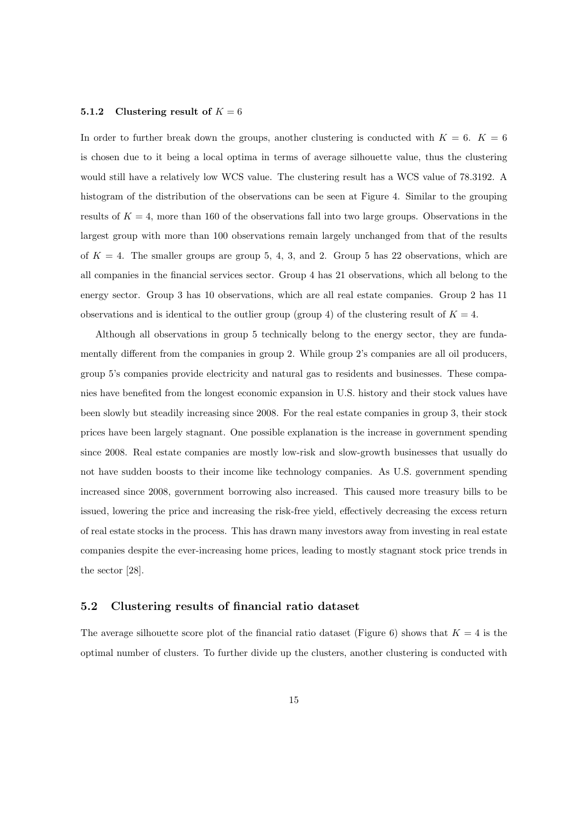#### 5.1.2 Clustering result of  $K = 6$

In order to further break down the groups, another clustering is conducted with  $K = 6$ .  $K = 6$ is chosen due to it being a local optima in terms of average silhouette value, thus the clustering would still have a relatively low WCS value. The clustering result has a WCS value of 78.3192. A histogram of the distribution of the observations can be seen at Figure 4. Similar to the grouping results of  $K = 4$ , more than 160 of the observations fall into two large groups. Observations in the largest group with more than 100 observations remain largely unchanged from that of the results of  $K = 4$ . The smaller groups are group 5, 4, 3, and 2. Group 5 has 22 observations, which are all companies in the financial services sector. Group 4 has 21 observations, which all belong to the energy sector. Group 3 has 10 observations, which are all real estate companies. Group 2 has 11 observations and is identical to the outlier group (group 4) of the clustering result of  $K = 4$ .

Although all observations in group 5 technically belong to the energy sector, they are fundamentally different from the companies in group 2. While group 2's companies are all oil producers, group 5's companies provide electricity and natural gas to residents and businesses. These companies have benefited from the longest economic expansion in U.S. history and their stock values have been slowly but steadily increasing since 2008. For the real estate companies in group 3, their stock prices have been largely stagnant. One possible explanation is the increase in government spending since 2008. Real estate companies are mostly low-risk and slow-growth businesses that usually do not have sudden boosts to their income like technology companies. As U.S. government spending increased since 2008, government borrowing also increased. This caused more treasury bills to be issued, lowering the price and increasing the risk-free yield, effectively decreasing the excess return of real estate stocks in the process. This has drawn many investors away from investing in real estate companies despite the ever-increasing home prices, leading to mostly stagnant stock price trends in the sector [28].

#### 5.2 Clustering results of financial ratio dataset

The average silhouette score plot of the financial ratio dataset (Figure 6) shows that  $K = 4$  is the optimal number of clusters. To further divide up the clusters, another clustering is conducted with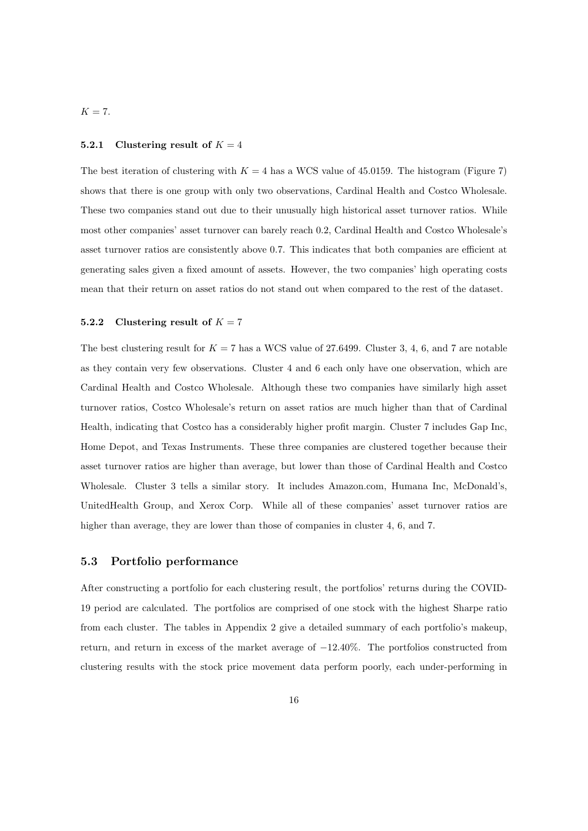$K = 7$ .

#### 5.2.1 Clustering result of  $K = 4$

The best iteration of clustering with  $K = 4$  has a WCS value of 45.0159. The histogram (Figure 7) shows that there is one group with only two observations, Cardinal Health and Costco Wholesale. These two companies stand out due to their unusually high historical asset turnover ratios. While most other companies' asset turnover can barely reach 0.2, Cardinal Health and Costco Wholesale's asset turnover ratios are consistently above 0.7. This indicates that both companies are efficient at generating sales given a fixed amount of assets. However, the two companies' high operating costs mean that their return on asset ratios do not stand out when compared to the rest of the dataset.

#### 5.2.2 Clustering result of  $K = 7$

The best clustering result for  $K = 7$  has a WCS value of 27.6499. Cluster 3, 4, 6, and 7 are notable as they contain very few observations. Cluster 4 and 6 each only have one observation, which are Cardinal Health and Costco Wholesale. Although these two companies have similarly high asset turnover ratios, Costco Wholesale's return on asset ratios are much higher than that of Cardinal Health, indicating that Costco has a considerably higher profit margin. Cluster 7 includes Gap Inc, Home Depot, and Texas Instruments. These three companies are clustered together because their asset turnover ratios are higher than average, but lower than those of Cardinal Health and Costco Wholesale. Cluster 3 tells a similar story. It includes Amazon.com, Humana Inc, McDonald's, UnitedHealth Group, and Xerox Corp. While all of these companies' asset turnover ratios are higher than average, they are lower than those of companies in cluster 4, 6, and 7.

#### 5.3 Portfolio performance

After constructing a portfolio for each clustering result, the portfolios' returns during the COVID-19 period are calculated. The portfolios are comprised of one stock with the highest Sharpe ratio from each cluster. The tables in Appendix 2 give a detailed summary of each portfolio's makeup, return, and return in excess of the market average of −12.40%. The portfolios constructed from clustering results with the stock price movement data perform poorly, each under-performing in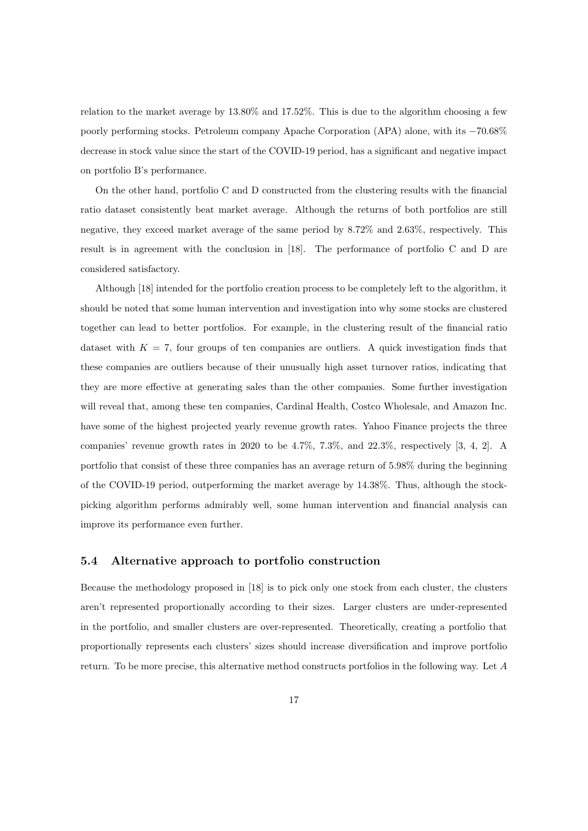relation to the market average by 13.80% and 17.52%. This is due to the algorithm choosing a few poorly performing stocks. Petroleum company Apache Corporation (APA) alone, with its −70.68% decrease in stock value since the start of the COVID-19 period, has a significant and negative impact on portfolio B's performance.

On the other hand, portfolio C and D constructed from the clustering results with the financial ratio dataset consistently beat market average. Although the returns of both portfolios are still negative, they exceed market average of the same period by 8.72% and 2.63%, respectively. This result is in agreement with the conclusion in [18]. The performance of portfolio C and D are considered satisfactory.

Although [18] intended for the portfolio creation process to be completely left to the algorithm, it should be noted that some human intervention and investigation into why some stocks are clustered together can lead to better portfolios. For example, in the clustering result of the financial ratio dataset with  $K = 7$ , four groups of ten companies are outliers. A quick investigation finds that these companies are outliers because of their unusually high asset turnover ratios, indicating that they are more effective at generating sales than the other companies. Some further investigation will reveal that, among these ten companies, Cardinal Health, Costco Wholesale, and Amazon Inc. have some of the highest projected yearly revenue growth rates. Yahoo Finance projects the three companies' revenue growth rates in 2020 to be 4.7%, 7.3%, and 22.3%, respectively [3, 4, 2]. A portfolio that consist of these three companies has an average return of 5.98% during the beginning of the COVID-19 period, outperforming the market average by 14.38%. Thus, although the stockpicking algorithm performs admirably well, some human intervention and financial analysis can improve its performance even further.

#### 5.4 Alternative approach to portfolio construction

Because the methodology proposed in [18] is to pick only one stock from each cluster, the clusters aren't represented proportionally according to their sizes. Larger clusters are under-represented in the portfolio, and smaller clusters are over-represented. Theoretically, creating a portfolio that proportionally represents each clusters' sizes should increase diversification and improve portfolio return. To be more precise, this alternative method constructs portfolios in the following way. Let A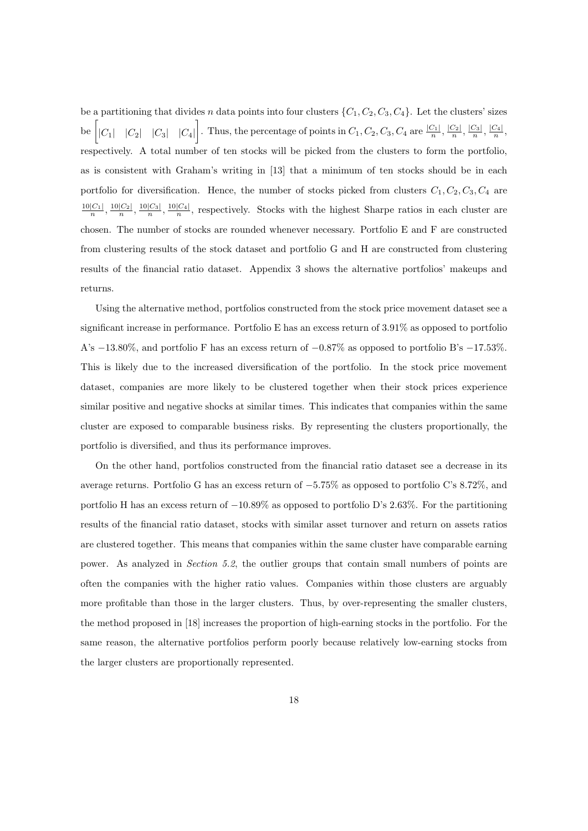be a partitioning that divides n data points into four clusters  $\{C_1, C_2, C_3, C_4\}$ . Let the clusters' sizes be  $\begin{vmatrix} |C_1| & |C_2| & |C_3| & |C_4| \end{vmatrix}$ . Thus, the percentage of points in  $C_1$ ,  $C_2$ ,  $C_3$ ,  $C_4$  are  $\frac{|C_1|}{n}$ ,  $\frac{|C_2|}{n}$ ,  $\frac{|C_3|}{n}$ ,  $\frac{|C_4|}{n}$ , respectively. A total number of ten stocks will be picked from the clusters to form the portfolio, as is consistent with Graham's writing in [13] that a minimum of ten stocks should be in each portfolio for diversification. Hence, the number of stocks picked from clusters  $C_1, C_2, C_3, C_4$  are  $\frac{10|C_1|}{n}, \frac{10|C_2|}{n}, \frac{10|C_3|}{n}, \frac{10|C_4|}{n}$ , respectively. Stocks with the highest Sharpe ratios in each cluster are chosen. The number of stocks are rounded whenever necessary. Portfolio E and F are constructed from clustering results of the stock dataset and portfolio G and H are constructed from clustering results of the financial ratio dataset. Appendix 3 shows the alternative portfolios' makeups and returns.

Using the alternative method, portfolios constructed from the stock price movement dataset see a significant increase in performance. Portfolio E has an excess return of 3.91% as opposed to portfolio A's −13.80%, and portfolio F has an excess return of −0.87% as opposed to portfolio B's −17.53%. This is likely due to the increased diversification of the portfolio. In the stock price movement dataset, companies are more likely to be clustered together when their stock prices experience similar positive and negative shocks at similar times. This indicates that companies within the same cluster are exposed to comparable business risks. By representing the clusters proportionally, the portfolio is diversified, and thus its performance improves.

On the other hand, portfolios constructed from the financial ratio dataset see a decrease in its average returns. Portfolio G has an excess return of −5.75% as opposed to portfolio C's 8.72%, and portfolio H has an excess return of −10.89% as opposed to portfolio D's 2.63%. For the partitioning results of the financial ratio dataset, stocks with similar asset turnover and return on assets ratios are clustered together. This means that companies within the same cluster have comparable earning power. As analyzed in Section 5.2, the outlier groups that contain small numbers of points are often the companies with the higher ratio values. Companies within those clusters are arguably more profitable than those in the larger clusters. Thus, by over-representing the smaller clusters, the method proposed in [18] increases the proportion of high-earning stocks in the portfolio. For the same reason, the alternative portfolios perform poorly because relatively low-earning stocks from the larger clusters are proportionally represented.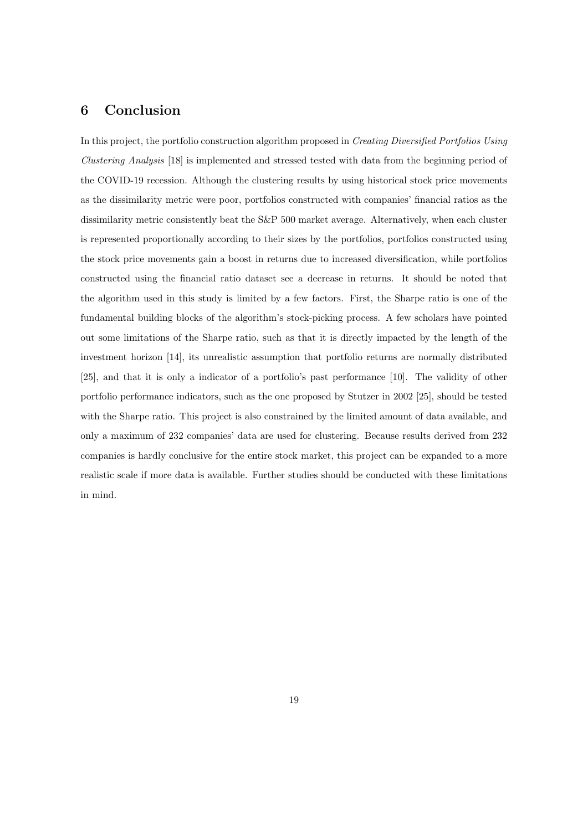## 6 Conclusion

In this project, the portfolio construction algorithm proposed in Creating Diversified Portfolios Using Clustering Analysis [18] is implemented and stressed tested with data from the beginning period of the COVID-19 recession. Although the clustering results by using historical stock price movements as the dissimilarity metric were poor, portfolios constructed with companies' financial ratios as the dissimilarity metric consistently beat the S&P 500 market average. Alternatively, when each cluster is represented proportionally according to their sizes by the portfolios, portfolios constructed using the stock price movements gain a boost in returns due to increased diversification, while portfolios constructed using the financial ratio dataset see a decrease in returns. It should be noted that the algorithm used in this study is limited by a few factors. First, the Sharpe ratio is one of the fundamental building blocks of the algorithm's stock-picking process. A few scholars have pointed out some limitations of the Sharpe ratio, such as that it is directly impacted by the length of the investment horizon [14], its unrealistic assumption that portfolio returns are normally distributed [25], and that it is only a indicator of a portfolio's past performance [10]. The validity of other portfolio performance indicators, such as the one proposed by Stutzer in 2002 [25], should be tested with the Sharpe ratio. This project is also constrained by the limited amount of data available, and only a maximum of 232 companies' data are used for clustering. Because results derived from 232 companies is hardly conclusive for the entire stock market, this project can be expanded to a more realistic scale if more data is available. Further studies should be conducted with these limitations in mind.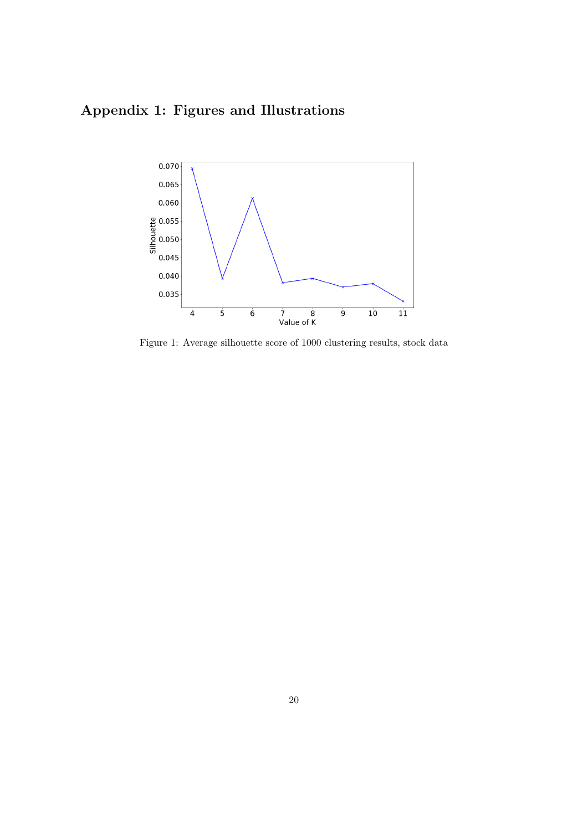## Appendix 1: Figures and Illustrations



Figure 1: Average silhouette score of 1000 clustering results, stock data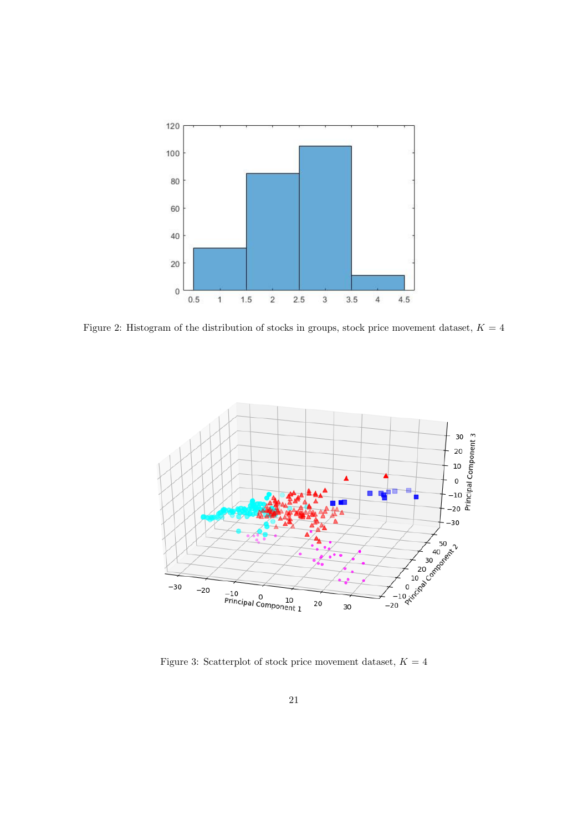

Figure 2: Histogram of the distribution of stocks in groups, stock price movement dataset,  $K = 4$ 



Figure 3: Scatterplot of stock price movement dataset,  $K = 4$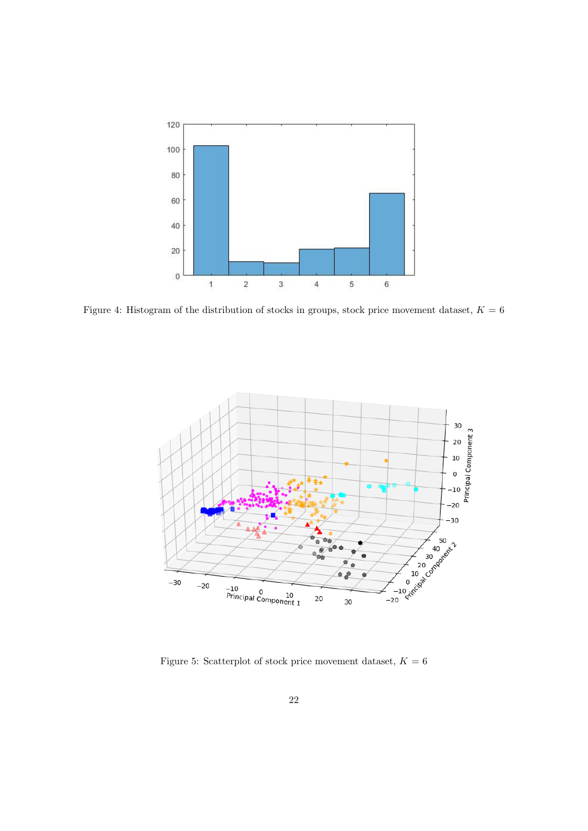

Figure 4: Histogram of the distribution of stocks in groups, stock price movement dataset,  $K = 6$ 



Figure 5: Scatterplot of stock price movement dataset,  $K=6$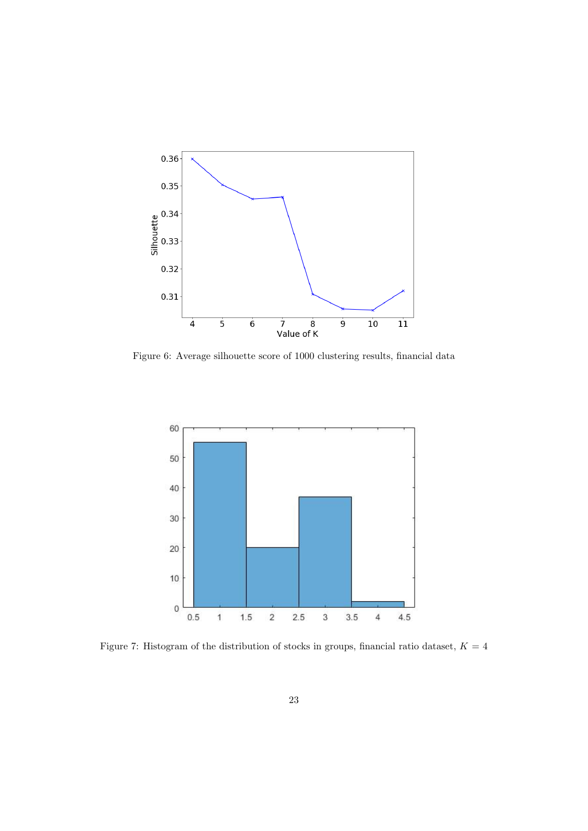

Figure 6: Average silhouette score of 1000 clustering results, financial data



Figure 7: Histogram of the distribution of stocks in groups, financial ratio dataset,  $K = 4$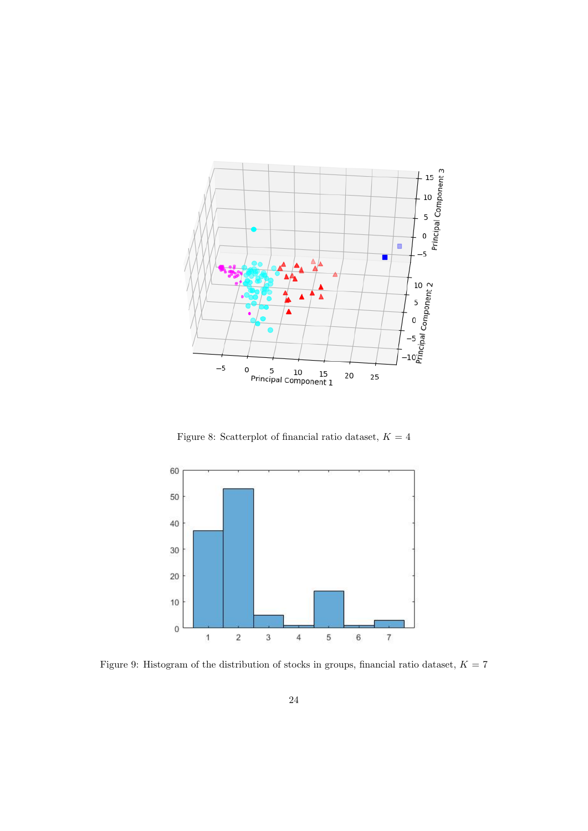

Figure 8: Scatterplot of financial ratio dataset,  $K = 4$ 



Figure 9: Histogram of the distribution of stocks in groups, financial ratio dataset,  $K = 7$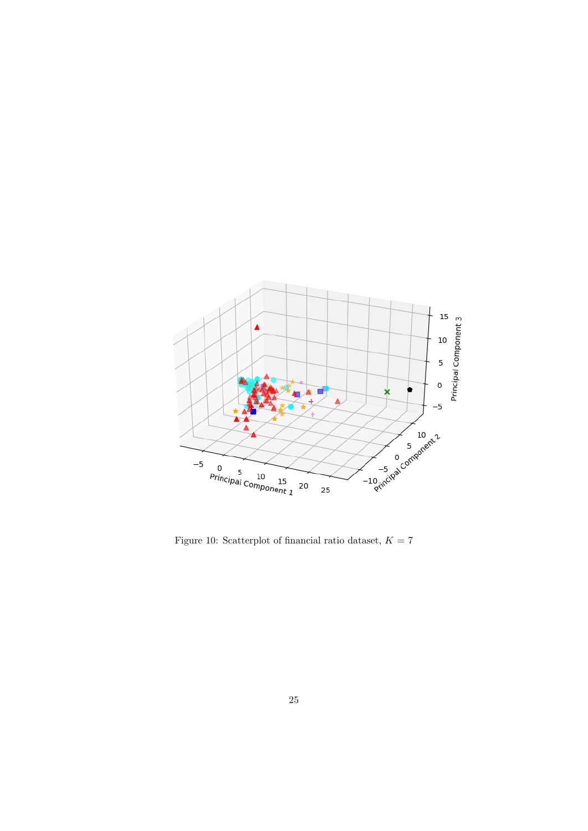

Figure 10: Scatterplot of financial ratio dataset,  $K = 7$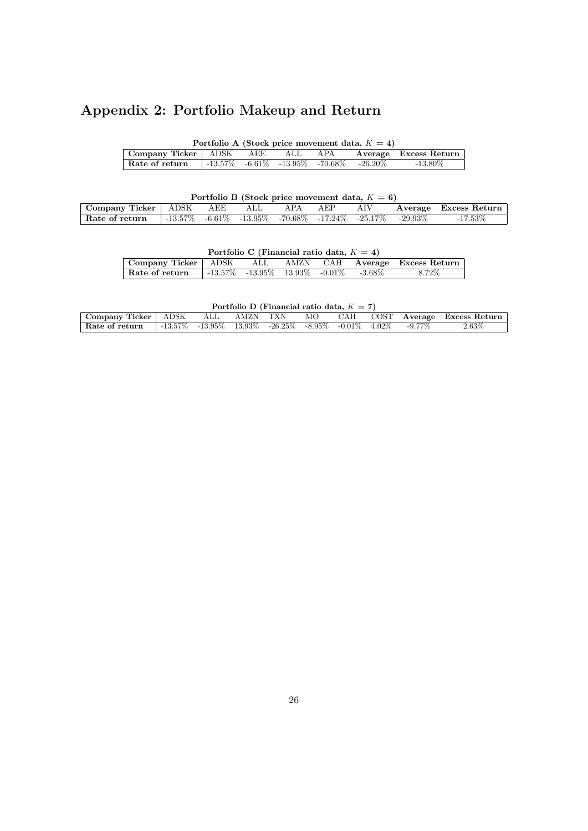## Appendix 2: Portfolio Makeup and Return

|                                                                                        |  |  | Portfolio A (Stock price movement data, $K = 4$ ) |  |
|----------------------------------------------------------------------------------------|--|--|---------------------------------------------------|--|
| Company Ticker   ADSK AEE ALL APA Average Excess Return                                |  |  |                                                   |  |
| <b>Rate of return</b> $-13.57\%$ $-6.61\%$ $-13.95\%$ $-70.68\%$ $-26.20\%$ $-13.80\%$ |  |  |                                                   |  |

| Portfolio B (Stock price movement data, $K = 6$ ) |  |  |  |  |  |  |                                                                             |                           |  |  |  |
|---------------------------------------------------|--|--|--|--|--|--|-----------------------------------------------------------------------------|---------------------------|--|--|--|
| Company Ticker   ADSK AEE ALL APA AEP             |  |  |  |  |  |  |                                                                             | AIV Average Excess Return |  |  |  |
| Rate of return                                    |  |  |  |  |  |  | $-13.57\%$ $-6.61\%$ $-13.95\%$ $-70.68\%$ $-17.24\%$ $-25.17\%$ $-29.93\%$ | $-17.53\%$                |  |  |  |

|                                                            | Portfolio C (Financial ratio data, $K = 4$ ) |  |        |
|------------------------------------------------------------|----------------------------------------------|--|--------|
| Company Ticker   ADSK ALL AMZN CAH Average Excess Return   |                                              |  |        |
| Rate of return $-13.57\%$ -13.95\% 13.93\% -0.01\% -3.68\% |                                              |  | 8.72\% |

| Portfolio D (Financial ratio data, $K = 7$ ) |                                                                                           |         |          |  |  |  |  |  |                                   |  |  |
|----------------------------------------------|-------------------------------------------------------------------------------------------|---------|----------|--|--|--|--|--|-----------------------------------|--|--|
| Company Ticker   ADSK                        |                                                                                           | . ALL . | AMZN TXN |  |  |  |  |  | MO CAH COST Average Excess Return |  |  |
| Rate of return                               | $\sqrt{1-13.57\%}$ $-13.95\%$ $13.93\%$ $-26.25\%$ $-8.95\%$ $-0.01\%$ $4.02\%$ $-9.77\%$ |         |          |  |  |  |  |  | $2.63\%$                          |  |  |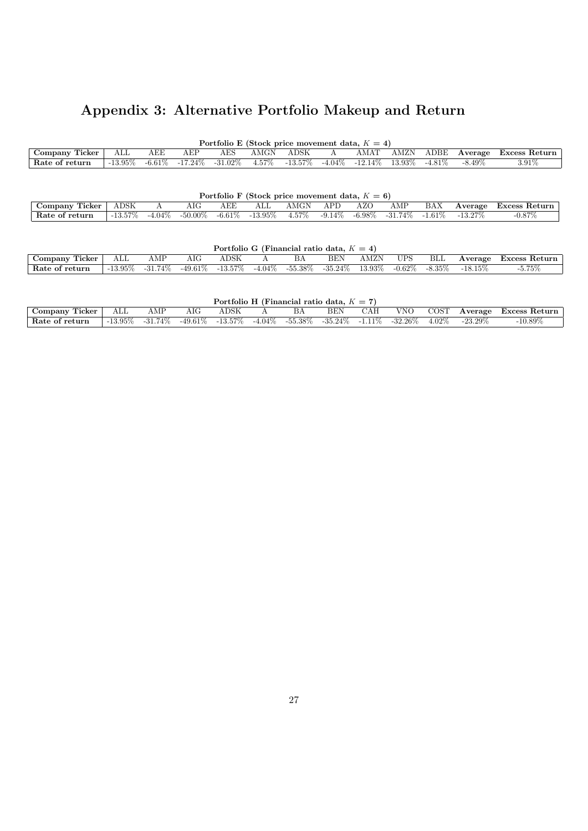## Appendix 3: Alternative Portfolio Makeup and Return

| Portfolio E (Stock price movement data, $K = 4$ ) |              |     |     |                                 |                       |            |  |                                          |      |     |           |               |
|---------------------------------------------------|--------------|-----|-----|---------------------------------|-----------------------|------------|--|------------------------------------------|------|-----|-----------|---------------|
| Company Ticker                                    | $_{\rm ALL}$ | AEE | AEP | AES                             | $\operatorname{AMGN}$ | ADSK       |  | AMAT                                     | AMZN | ADE | Average   | Excess Return |
| Rate of return                                    | $-13.95\%$   |     |     | $-6.61\%$ $-17.24\%$ $-31.02\%$ | $4.57\%$              | $-13.57\%$ |  | $-4.04\%$ $-12.14\%$ $13.93\%$ $-4.81\%$ |      |     | $-8.49\%$ | 3.91%         |

| Portfolio F (Stock price movement data, $K = 6$ ) |            |  |     |     |                                           |                       |     |     |     |     |                                                     |               |
|---------------------------------------------------|------------|--|-----|-----|-------------------------------------------|-----------------------|-----|-----|-----|-----|-----------------------------------------------------|---------------|
| Company Ticker                                    | ADSK       |  | AIG | AEE | $\mathrm{ALL}$                            | $\operatorname{AMGN}$ | APD | AZO | AMP | BAX | Average                                             | Excess Return |
| Rate of return                                    | $-13.57\%$ |  |     |     | $-4.04\%$ $-50.00\%$ $-6.61\%$ $-13.95\%$ | $4.57\%$              |     |     |     |     | $-9.14\%$ $-6.98\%$ $-31.74\%$ $-1.61\%$ $-13.27\%$ | $-0.87\%$     |

|                   |            |         |                                 |      |  | Portfolio G (Financial ratio data, $K = 4$ ) |           |                     |     |            |               |
|-------------------|------------|---------|---------------------------------|------|--|----------------------------------------------|-----------|---------------------|-----|------------|---------------|
| Ticker<br>Company | ALI        | AMP     | AIG                             | ADSK |  | BEN                                          | AMZN      | <b>UPS</b>          | BLL | Average    | Excess Return |
| Rate of return    | $-13.95\%$ | -31.74% | $-49.61\%$ $-13.57\%$ $-4.04\%$ |      |  | -55.38% -35.24% 3                            | $13.93\%$ | $-0.62\%$ $-8.35\%$ |     | $-18.15\%$ | $-5.75\%$     |

| Portfolio H (Financial ratio data, $K = 7$ ) |             |            |     |                                 |  |    |     |     |                                            |          |            |               |
|----------------------------------------------|-------------|------------|-----|---------------------------------|--|----|-----|-----|--------------------------------------------|----------|------------|---------------|
| Company Ticker                               | ALL         | AMP        | AIG | $_{\rm{ADSK}}$                  |  | BA | BEN | CAH | VNO.                                       | COST     | Average    | Excess Return |
| $\mathsf{R}$ Rate of return                  | -13.95 $\%$ | $-31.74\%$ |     | $-49.61\%$ $-13.57\%$ $-4.04\%$ |  |    |     |     | $-55.38\%$ $-35.24\%$ $-1.11\%$ $-32.26\%$ | $4.02\%$ | $-23.29\%$ | $-10.89\%$    |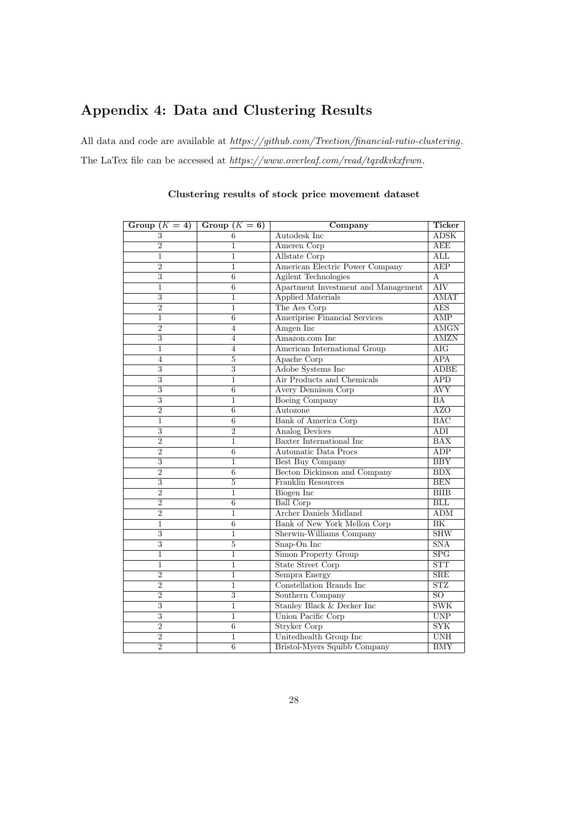## Appendix 4: Data and Clustering Results

All data and code are available at  $\hbar tps://github.com/Trection/financial-ratio-clustering$ . The LaTex file can be accessed at  $https://www.overleaf.com/read/tagkvkxfvwn$ .

| Group $(K = 4)$ | Group $(K = 6)$ | Company                             | Ticker                  |
|-----------------|-----------------|-------------------------------------|-------------------------|
| 3               | 6               | Autodesk Inc                        | <b>ADSK</b>             |
| $\overline{2}$  | 1               | Ameren Corp                         | <b>AEE</b>              |
| $\mathbf{1}$    | 1               | Allstate Corp                       | $\overline{\text{ALL}}$ |
| $\overline{2}$  | $\mathbf{1}$    | American Electric Power Company     | AEP                     |
| $\overline{3}$  | 6               | <b>Agilent Technologies</b>         | $\overline{A}$          |
| 1               | $\overline{6}$  | Apartment Investment and Management | $\overline{\rm{AIV}}$   |
| $\overline{3}$  | 1               | <b>Applied Materials</b>            | <b>AMAT</b>             |
| $\overline{2}$  | $\overline{1}$  | The Aes Corp                        | <b>AES</b>              |
| $\overline{1}$  | 6               | Ameriprise Financial Services       | AMP                     |
| $\overline{2}$  | $\overline{4}$  | Amgen Inc                           | <b>AMGN</b>             |
| $\overline{3}$  | $\overline{4}$  | Amazon.com Inc.                     | <b>AMZN</b>             |
| $\mathbf{1}$    | $\overline{4}$  | American International Group        | $\overline{\rm{AIG}}$   |
| $\overline{4}$  | $\overline{5}$  | Apache Corp                         | <b>APA</b>              |
| $\overline{3}$  | $\overline{3}$  | Adobe Systems Inc                   | <b>ADBE</b>             |
| $\overline{3}$  | 1               | Air Products and Chemicals          | $\overline{APD}$        |
| $\overline{3}$  | 6               | <b>Avery Dennison Corp</b>          | <b>AVY</b>              |
| $\overline{3}$  | $\mathbf{1}$    | Boeing Company                      | BA                      |
| $\overline{2}$  | $\overline{6}$  | Autozone                            | <b>AZO</b>              |
| $\mathbf{1}$    | 6               | Bank of America Corp                | BAC                     |
| $\overline{3}$  | $\overline{2}$  | Analog Devices                      | ADI                     |
| $\overline{2}$  | 1               | Baxter International Inc.           | $\overline{\text{BAX}}$ |
| $\overline{2}$  | $\overline{6}$  | Automatic Data Procs                | ADP                     |
| $\overline{3}$  | $\mathbf{1}$    | Best Buy Company                    | <b>BBY</b>              |
| $\overline{2}$  | 6               | Becton Dickinson and Company        | BDX                     |
| $\overline{3}$  | $\overline{5}$  | Franklin Resources                  | <b>BEN</b>              |
| $\overline{2}$  | $\mathbf{1}$    | <b>Biogen</b> Inc                   | B IIB                   |
| $\overline{2}$  | $\overline{6}$  | <b>Ball Corp</b>                    | BLL                     |
| $\overline{2}$  | $\mathbf{1}$    | Archer Daniels Midland              | <b>ADM</b>              |
| 1               | 6               | Bank of New York Mellon Corp        | BK                      |
| 3               | 1               | Sherwin-Williams Company            | SHW                     |
| $\overline{3}$  | $\overline{5}$  | Snap-On Inc                         | $\overline{\text{SNA}}$ |
| $\overline{1}$  | $\overline{1}$  | <b>Simon Property Group</b>         | SPG                     |
| $\mathbf{1}$    | $\mathbf{1}$    | <b>State Street Corp</b>            | <b>STT</b>              |
| $\overline{2}$  | $\mathbf{1}$    | Sempra Energy                       | SRE                     |
| $\overline{2}$  | 1               | Constellation Brands Inc.           | $\overline{\text{STZ}}$ |
| $\overline{2}$  | $\overline{3}$  | Southern Company                    | $\overline{SO}$         |
| $\overline{3}$  | $\mathbf{1}$    | Stanley Black & Decker Inc          | <b>SWK</b>              |
| 3               | $\mathbf{1}$    | Union Pacific Corp                  | <b>UNP</b>              |
| $\overline{2}$  | 6               | <b>Stryker Corp</b>                 | $\overline{\text{SYK}}$ |
| $\overline{2}$  | 1               | Unitedhealth Group Inc              | <b>UNH</b>              |
| $\overline{2}$  | $\overline{6}$  | Bristol-Myers Squibb Company        | <b>BMY</b>              |

### Clustering results of stock price movement dataset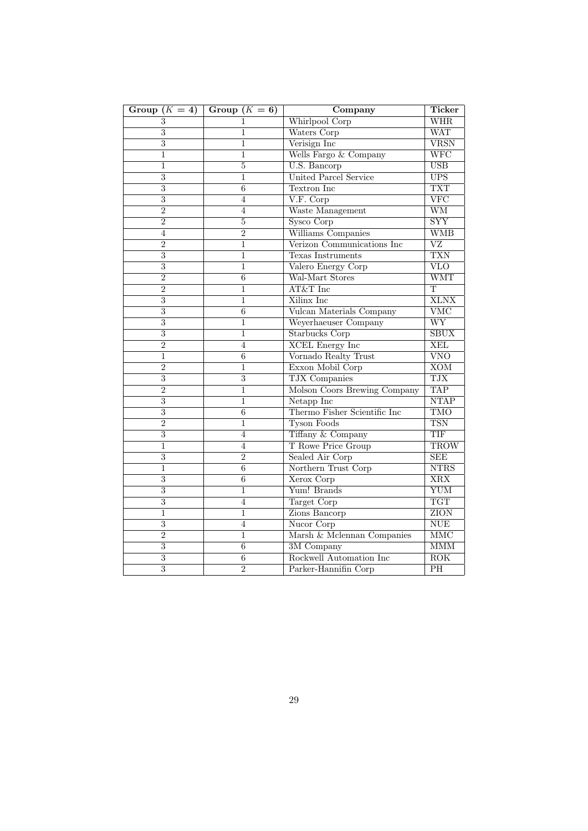| Group $(K = 4)$           | Group $(K = 6)$ | Company                      | <b>Ticker</b>            |
|---------------------------|-----------------|------------------------------|--------------------------|
| 3                         | 1               | Whirlpool Corp               | WHR                      |
| 3                         | 1               | Waters Corp                  | <b>WAT</b>               |
| $\overline{3}$            | 1               | Verisign Inc                 | $\overline{\text{VRSN}}$ |
| $\mathbf{1}$              | $\mathbf{1}$    | Wells Fargo & Company        | $\overline{\text{WFC}}$  |
| $\mathbf{1}$              | $\overline{5}$  | U.S. Bancorp                 | <b>USB</b>               |
| $\overline{\overline{3}}$ | $\mathbf{1}$    | <b>United Parcel Service</b> | $\overline{UPS}$         |
| $\overline{\overline{3}}$ | $6\phantom{1}6$ | Textron Inc                  | <b>TXT</b>               |
| $\overline{3}$            | 4               | V.F. Corp                    | $\overline{\text{VFC}}$  |
| $\overline{2}$            | 4               | Waste Management             | <b>WM</b>                |
| $\overline{2}$            | $\overline{5}$  | Sysco Corp                   | $\overline{\text{SYY}}$  |
| 4                         | $\overline{2}$  | Williams Companies           | <b>WMB</b>               |
| $\overline{2}$            | 1               | Verizon Communications Inc   | $\overline{\rm \rm VZ}$  |
| $\overline{3}$            | 1               | <b>Texas Instruments</b>     | <b>TXN</b>               |
| $\overline{3}$            | $\overline{1}$  | Valero Energy Corp           | $\overline{\text{VLO}}$  |
| $\overline{2}$            | $6\phantom{1}6$ | Wal-Mart Stores              | <b>WMT</b>               |
| $\overline{2}$            | $\mathbf{1}$    | AT&T Inc                     | $\overline{\mathrm{T}}$  |
| $\overline{3}$            | 1               | Xilinx Inc                   | <b>XLNX</b>              |
| $\overline{3}$            | $\overline{6}$  | Vulcan Materials Company     | $\overline{\text{VMC}}$  |
| $\overline{3}$            | $\mathbf{1}$    | Weyerhaeuser Company         | $\overline{\text{WY}}$   |
| $\overline{3}$            | 1               | <b>Starbucks Corp</b>        | SBUX                     |
| $\overline{2}$            | $\overline{4}$  | <b>XCEL Energy Inc</b>       | <b>XEL</b>               |
| $\,1$                     | $6\phantom{1}6$ | Vornado Realty Trust         | $\overline{\text{VNO}}$  |
| $\overline{2}$            | $\overline{1}$  | Exxon Mobil Corp             | $\overline{XOM}$         |
| $\overline{3}$            | $\overline{3}$  | TJX Companies                | <b>TJX</b>               |
| $\overline{2}$            | $\overline{1}$  | Molson Coors Brewing Company | <b>TAP</b>               |
| $\overline{3}$            | 1               | Netapp Inc                   | NTAP                     |
| $\overline{3}$            | $6\phantom{1}6$ | Thermo Fisher Scientific Inc | <b>TMO</b>               |
| $\overline{2}$            | 1               | <b>Tyson Foods</b>           | <b>TSN</b>               |
| $\overline{3}$            | $\overline{4}$  | Tiffany & Company            | TIF                      |
| $\mathbf 1$               | 4               | T Rowe Price Group           | <b>TROW</b>              |
| $\overline{3}$            | $\overline{2}$  | Sealed Air Corp              | SEE                      |
| $\overline{1}$            | $\overline{6}$  | Northern Trust Corp          | <b>NTRS</b>              |
| $\overline{3}$            | $\overline{6}$  | Xerox Corp                   | $\overline{XRX}$         |
| $\overline{3}$            | $\mathbf 1$     | Yum! Brands                  | <b>YUM</b>               |
| $\overline{3}$            | 4               | Target Corp                  | <b>TGT</b>               |
| $\mathbf{1}$              | $\mathbf{1}$    | Zions Bancorp                | ZION                     |
| $\overline{3}$            | $\overline{4}$  | Nucor Corp                   | $\overline{\text{NUE}}$  |
| $\overline{2}$            | $\mathbf{1}$    | Marsh & Mclennan Companies   | $\overline{\text{MMC}}$  |
| $\overline{3}$            | $6\phantom{1}6$ | $\overline{3M}$ Company      | <b>MMM</b>               |
| $\overline{3}$            | 6               | Rockwell Automation Inc      | $\overline{\text{ROK}}$  |
| $\overline{3}$            | $\overline{2}$  | Parker-Hannifin Corp         | $\overline{PH}$          |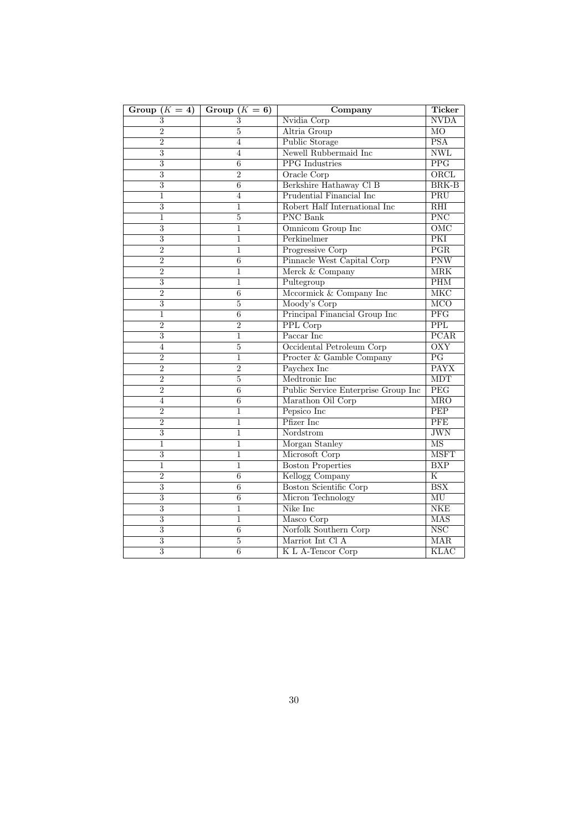| Group $(K = 4)$  | Group $(K = 6)$ | Company                             | <b>Ticker</b>             |
|------------------|-----------------|-------------------------------------|---------------------------|
| $\boldsymbol{3}$ | 3               | Nvidia Corp                         | <b>NVDA</b>               |
| $\overline{2}$   | 5               | Altria Group                        | M <sub>O</sub>            |
| $\overline{2}$   | 4               | Public Storage                      | <b>PSA</b>                |
| $\overline{3}$   | $\overline{4}$  | Newell Rubbermaid Inc               | <b>NWL</b>                |
| $\overline{3}$   | $\overline{6}$  | PPG Industries                      | PPG                       |
| $\overline{3}$   | $\overline{2}$  | Oracle Corp                         | ORCL                      |
| $\overline{3}$   | 6               | Berkshire Hathaway Cl B             | <b>BRK-B</b>              |
| $\mathbf 1$      | $\overline{4}$  | <b>Prudential Financial Inc</b>     | PRU                       |
| $\overline{3}$   | $\mathbf{1}$    | Robert Half International Inc       | RHI                       |
| 1                | 5               | PNC Bank                            | <b>PNC</b>                |
| $\overline{3}$   | $\mathbf{1}$    | Omnicom Group Inc                   | $\overline{\text{OMC}}$   |
| $\overline{3}$   | 1               | Perkinelmer                         | PKI                       |
| $\overline{2}$   | $\mathbf{1}$    | Progressive Corp                    | $\overline{\text{PGR}}$   |
| $\overline{2}$   | $\overline{6}$  | Pinnacle West Capital Corp          | $\overline{\text{PNW}}$   |
| $\overline{2}$   | $\mathbf{1}$    | Merck & Company                     | <b>MRK</b>                |
| $\overline{3}$   | 1               | Pultegroup                          | PHM                       |
| $\overline{2}$   | 6               | Mccormick & Company Inc             | MKC                       |
| $\overline{3}$   | $\bf 5$         | Moody's Corp                        | $\overline{MCO}$          |
| 1                | $\overline{6}$  | Principal Financial Group Inc       | <b>PFG</b>                |
| $\overline{2}$   | $\overline{2}$  | PPL Corp                            | PPL                       |
| $\overline{3}$   | 1               | Paccar Inc                          | PCAR                      |
| $\overline{4}$   | 5               | Occidental Petroleum Corp           | <b>OXY</b>                |
| $\overline{2}$   | $\overline{1}$  | Procter & Gamble Company            | $\overline{PG}$           |
| $\overline{2}$   | $\overline{2}$  | Paychex Inc                         | <b>PAYX</b>               |
| $\overline{2}$   | 5               | Medtronic Inc                       | <b>MDT</b>                |
| $\overline{2}$   | 6               | Public Service Enterprise Group Inc | PEG                       |
| 4                | 6               | Marathon Oil Corp                   | <b>MRO</b>                |
| $\overline{2}$   | $\mathbf{1}$    | Pepsico Inc                         | $\overline{PEP}$          |
| $\overline{2}$   | $\overline{1}$  | Pfizer Inc                          | PFE                       |
| $\overline{3}$   | $\mathbf{1}$    | Nordstrom                           | <b>JWN</b>                |
| $\mathbf{1}$     | $\mathbf{1}$    | Morgan Stanley                      | $\overline{\text{MS}}$    |
| $\overline{3}$   | 1               | Microsoft Corp                      | <b>MSFT</b>               |
| $\overline{1}$   | $\mathbf{1}$    | <b>Boston Properties</b>            | <b>BXP</b>                |
| $\overline{2}$   | 6               | Kellogg Company                     | $\mathbf K$               |
| $\overline{3}$   | 6               | <b>Boston Scientific Corp</b>       | $\overline{BSX}$          |
| $\overline{3}$   | $\overline{6}$  | Micron Technology                   | $\overline{\text{MU}}$    |
| $\overline{3}$   | $\overline{1}$  | Nike Inc                            | <b>NKE</b>                |
| $\overline{3}$   | $\mathbf{1}$    | Masco Corp                          | <b>MAS</b>                |
| $\overline{3}$   | 6               | Norfolk Southern Corp               | $\overline{\mathrm{NSC}}$ |
| $\overline{3}$   | $\bf 5$         | Marriot Int Cl A                    | MAR                       |
| $\overline{3}$   | $\overline{6}$  | K L A-Tencor Corp                   | <b>KLAC</b>               |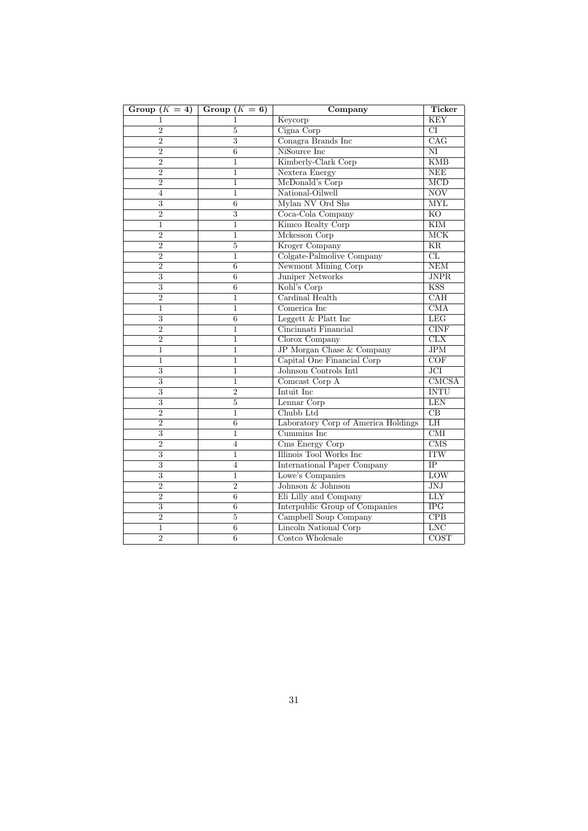| Group $(K = 4)$           | Group $(K = 6)$  | Company                             | <b>Ticker</b>             |
|---------------------------|------------------|-------------------------------------|---------------------------|
| 1                         | 1                | Keycorp                             | <b>KEY</b>                |
| $\overline{2}$            | $\overline{5}$   | Cigna Corp                          | $\overline{\text{CI}}$    |
| $\overline{2}$            | $\overline{3}$   | Conagra Brands Inc                  | $\overline{\text{CAG}}$   |
| $\overline{2}$            | $\overline{6}$   | NiSource Inc                        | $\overline{\text{NI}}$    |
| $\overline{2}$            | $\mathbf{1}$     | Kimberly-Clark Corp                 | <b>KMB</b>                |
| $\overline{2}$            | $\mathbf{1}$     | Nextera Energy                      | NEE                       |
| $\overline{2}$            | 1                | McDonald's Corp                     | $\overline{\text{MCD}}$   |
| 4                         | 1                | National-Oilwell                    | <b>NOV</b>                |
| 3                         | $\boldsymbol{6}$ | Mylan NV Ord Shs                    | <b>MYL</b>                |
| $\overline{2}$            | $\overline{3}$   | Coca-Cola Company                   | $\overline{KO}$           |
| $\mathbf{1}$              | $\mathbf{1}$     | Kimco Realty Corp                   | $\overline{\text{KIM}}$   |
| $\overline{2}$            | $\mathbf 1$      | Mckesson Corp                       | MCK                       |
| $\overline{2}$            | 5                | <b>Kroger Company</b>               | <b>KR</b>                 |
| $\overline{2}$            | $\overline{1}$   | Colgate-Palmolive Company           | CL                        |
| $\overline{2}$            | $\boldsymbol{6}$ | Newmont Mining Corp                 | NEM                       |
| 3                         | 6                | <b>Juniper Networks</b>             | <b>JNPR</b>               |
| 3                         | 6                | Kohl's Corp                         | KSS                       |
| $\overline{2}$            | $\mathbf{1}$     | Cardinal Health                     | CAH                       |
| $\mathbf{1}$              | $\mathbf{1}$     | Comerica Inc                        | $\overline{\text{CMA}}$   |
| 3                         | 6                | Leggett $&$ Platt Inc               | LEG                       |
| $\overline{2}$            | $\mathbf{1}$     | Cincinnati Financial                | <b>CINF</b>               |
| $\overline{2}$            | $\mathbf 1$      | Clorox Company                      | CLX                       |
| $\overline{1}$            | $\mathbf{1}$     | JP Morgan Chase & Company           | $\overline{\text{JPM}}$   |
| $\mathbf{1}$              | $\mathbf{1}$     | Capital One Financial Corp          | COF                       |
| 3                         | 1                | Johnson Controls Intl               | $\overline{\text{JCI}}$   |
| 3                         | 1                | Comcast Corp A                      | CMCSA                     |
| 3                         | $\overline{2}$   | Intuit Inc                          | <b>INTU</b>               |
| $\overline{3}$            | $\overline{5}$   | Lennar Corp                         | <b>LEN</b>                |
| $\overline{2}$            | 1                | Chubb Ltd                           | $\overline{CB}$           |
| $\overline{2}$            | $\overline{6}$   | Laboratory Corp of America Holdings | LH                        |
| 3                         | 1                | Cummins Inc                         | $\overline{\text{CMI}}$   |
| $\overline{2}$            | $\overline{4}$   | Cms Energy Corp                     | $\overline{\mathrm{CMS}}$ |
| 3                         | 1                | Illinois Tool Works Inc             | <b>ITW</b>                |
| 3                         | $\overline{4}$   | <b>International Paper Company</b>  | $\overline{IP}$           |
| 3                         | $\mathbf{1}$     | Lowe's Companies                    | LOW                       |
| $\overline{2}$            | $\overline{2}$   | Johnson & Johnson                   | JNJ                       |
| $\overline{2}$            | $\boldsymbol{6}$ | Eli Lilly and Company               | LLY                       |
| $\overline{\overline{3}}$ | $\overline{6}$   | Interpublic Group of Companies      | $\overline{\text{IPG}}$   |
| $\overline{2}$            | $\overline{5}$   | Campbell Soup Company               | $\overline{CPB}$          |
| 1                         | $\,6$            | Lincoln National Corp               | <b>LNC</b>                |
| $\overline{2}$            | $\boldsymbol{6}$ | Costco Wholesale                    | COST                      |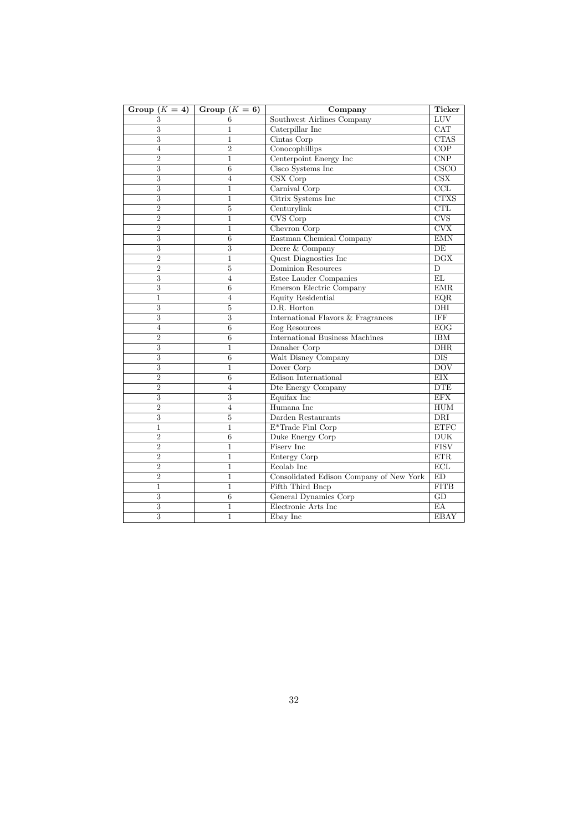| Group $(K = 4)$ | Group $(K = 6)$ | Company                                 | <b>Ticker</b>             |
|-----------------|-----------------|-----------------------------------------|---------------------------|
| 3               | 6               | Southwest Airlines Company              | LUV                       |
| $\overline{3}$  | $\mathbf{1}$    | Caterpillar Inc                         | CAT                       |
| $\overline{3}$  | $\mathbf{1}$    | Cintas Corp                             | <b>CTAS</b>               |
| $\overline{4}$  | $\overline{2}$  | Conocophillips                          | COP                       |
| $\overline{2}$  | $\mathbf{1}$    | Centerpoint Energy Inc                  | CNP                       |
| $\overline{3}$  | $\overline{6}$  | Cisco Systems Inc                       | $\overline{\text{CSCO}}$  |
| $\overline{3}$  | $\overline{4}$  | CSX Corp                                | $\overline{\text{CSX}}$   |
| $\overline{3}$  | 1               | Carnival Corp                           | $\overline{\text{CCL}}$   |
| $\overline{3}$  | $\overline{1}$  | Citrix Systems Inc                      | <b>CTXS</b>               |
| $\overline{2}$  | $\overline{5}$  | Centurylink                             | CTL                       |
| $\overline{2}$  | $\mathbf{1}$    | CVS Corp                                | <b>CVS</b>                |
| $\overline{2}$  | $\mathbf{1}$    | Chevron Corp                            | $\overline{\text{CVX}}$   |
| $\overline{3}$  | 6               | Eastman Chemical Company                | $\overline{\mathrm{EMN}}$ |
| $\overline{3}$  | $\overline{3}$  | Deere & Company                         | $\overline{DE}$           |
| $\overline{2}$  | $\mathbf{1}$    | Quest Diagnostics Inc                   | $\overline{\text{DGX}}$   |
| $\overline{2}$  | $\overline{5}$  | Dominion Resources                      | $\overline{\mathbf{D}}$   |
| $\overline{3}$  | 4               | Estee Lauder Companies                  | EL                        |
| 3               | 6               | Emerson Electric Company                | $\overline{\text{EMR}}$   |
| $\mathbf{1}$    | $\overline{4}$  | Equity Residential                      | EQR                       |
| $\overline{3}$  | $\overline{5}$  | D.R. Horton                             | $\overline{DHI}$          |
| $\overline{3}$  | $\overline{3}$  | International Flavors & Fragrances      | <b>IFF</b>                |
| $\overline{4}$  | $\overline{6}$  | Eog Resources                           | EOG                       |
| $\overline{2}$  | $\overline{6}$  | <b>International Business Machines</b>  | <b>IBM</b>                |
| 3               | $\mathbf{1}$    | Danaher Corp                            | $DHR$                     |
| $\overline{3}$  | $6\overline{6}$ | Walt Disney Company                     | $DIS$                     |
| $\overline{3}$  | 1               | Dover Corp                              | $\overline{DOV}$          |
| $\overline{2}$  | 6               | Edison International                    | EIX                       |
| $\overline{2}$  | $\overline{4}$  | Dte Energy Company                      | <b>DTE</b>                |
| $\overline{3}$  | $\overline{3}$  | Equifax Inc                             | <b>EFX</b>                |
| $\overline{2}$  | $\overline{4}$  | Humana Inc                              | <b>HUM</b>                |
| $\overline{3}$  | 5               | Darden Restaurants                      | <b>DRI</b>                |
| $\mathbf{1}$    | $\mathbf{1}$    | $E^*$ Trade Finl Corp                   | <b>ETFC</b>               |
| $\overline{2}$  | $\overline{6}$  | Duke Energy Corp                        | DUK                       |
| $\overline{2}$  | $\mathbf{1}$    | Fisery Inc.                             | <b>FISV</b>               |
| $\overline{2}$  | 1               | Entergy Corp                            | ETR                       |
| $\overline{2}$  | $\mathbf{1}$    | Ecolab Inc                              | ECL                       |
| $\overline{2}$  | $\overline{1}$  | Consolidated Edison Company of New York | ED                        |
| $\mathbf{1}$    | $\mathbf{1}$    | Fifth Third Bncp                        | <b>FITB</b>               |
| $\overline{3}$  | $\overline{6}$  | General Dynamics Corp                   | $\overline{GD}$           |
| $\overline{3}$  | $\mathbf{1}$    | Electronic Arts Inc                     | $E$ A                     |
| $\overline{3}$  | $\mathbf{1}$    | Ebay Inc                                | <b>EBAY</b>               |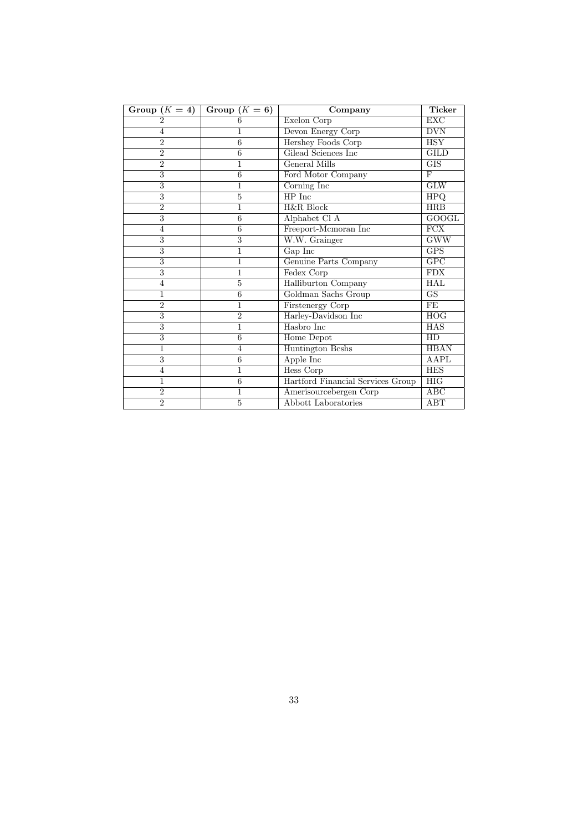| Group $(K = 4)$ | Group $(K = 6)$ | Company                           | <b>Ticker</b>          |
|-----------------|-----------------|-----------------------------------|------------------------|
| $\overline{2}$  | 6               | Exelon Corp                       | <b>EXC</b>             |
| $\overline{4}$  | 1               | Devon Energy Corp                 | <b>DVN</b>             |
| $\overline{2}$  | 6               | Hershey Foods Corp                | <b>HSY</b>             |
| $\overline{2}$  | 6               | Gilead Sciences Inc               | <b>GILD</b>            |
| $\overline{2}$  | $\overline{1}$  | <b>General Mills</b>              | GIS                    |
| 3               | 6               | Ford Motor Company                | F                      |
| 3               | 1               | Corning Inc                       | <b>GLW</b>             |
| $\overline{3}$  | $\overline{5}$  | $HP$ Inc                          | <b>HPQ</b>             |
| $\overline{2}$  | 1               | H&R Block                         | HRB                    |
| 3               | 6               | Alphabet Cl A                     | $\overline{GOOGL}$     |
| $\overline{4}$  | 6               | Freeport-Mcmoran Inc              | FCX                    |
| 3               | 3               | W.W. Grainger                     | <b>GWW</b>             |
| 3               | $\overline{1}$  | $Gap$ Inc                         | <b>GPS</b>             |
| $\overline{3}$  | $\overline{1}$  | <b>Genuine Parts Company</b>      | GPC                    |
| 3               | 1               | Fedex Corp                        | <b>FDX</b>             |
| $\overline{4}$  | 5               | Halliburton Company               | <b>HAL</b>             |
| $\overline{1}$  | $\overline{6}$  | Goldman Sachs Group               | $\overline{\text{GS}}$ |
| $\overline{2}$  | 1               | Firstenergy Corp                  | FE                     |
| 3               | $\overline{2}$  | Harley-Davidson Inc               | HOG                    |
| $\overline{3}$  | $\overline{1}$  | Hasbro Inc                        | HAS                    |
| 3               | 6               | Home Depot                        | HD                     |
| $\overline{1}$  | $\overline{4}$  | Huntington Beshs                  | <b>HBAN</b>            |
| $\overline{3}$  | $\overline{6}$  | Apple Inc                         | <b>AAPL</b>            |
| $\overline{4}$  | $\overline{1}$  | <b>Hess Corp</b>                  | <b>HES</b>             |
| $\overline{1}$  | 6               | Hartford Financial Services Group | <b>HIG</b>             |
| $\overline{2}$  | 1               | Amerisourcebergen Corp            | ABC                    |
| $\overline{2}$  | 5               | Abbott Laboratories               | ABT                    |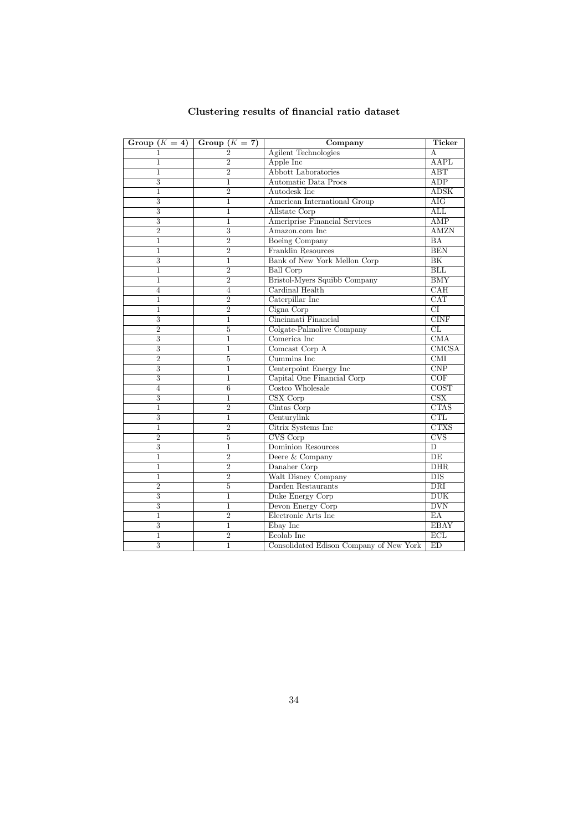| Group $(K = 4)$ | Group $(K = 7)$ | Company                                 | Ticker                     |
|-----------------|-----------------|-----------------------------------------|----------------------------|
| 1               | $\overline{2}$  | <b>Agilent Technologies</b>             | A                          |
| 1               | $\overline{2}$  | Apple Inc                               | <b>AAPL</b>                |
| 1               | $\overline{2}$  | <b>Abbott Laboratories</b>              | $\overline{ABT}$           |
| $\overline{3}$  | $\mathbf{1}$    | Automatic Data Procs                    | <b>ADP</b>                 |
| $\overline{1}$  | $\overline{2}$  | Autodesk Inc                            | $\overline{\mathrm{ADSK}}$ |
| $\overline{3}$  | $\mathbf{1}$    | American International Group            | $\overline{\rm{AIG}}$      |
| $\overline{3}$  | 1               | Allstate Corp                           | $\overline{\mathrm{ALL}}$  |
| $\overline{3}$  | $\mathbf{1}$    | Ameriprise Financial Services           | $\overline{\text{AMP}}$    |
| $\overline{2}$  | $\overline{3}$  | Amazon.com Inc                          | <b>AMZN</b>                |
| $\overline{1}$  | $\overline{2}$  | <b>Boeing Company</b>                   | $\overline{BA}$            |
| $\mathbf{1}$    | $\overline{2}$  | Franklin Resources                      | <b>BEN</b>                 |
| $\overline{3}$  | $\mathbf{1}$    | Bank of New York Mellon Corp            | $\overline{\rm BK}$        |
| $\mathbf{1}$    | $\overline{2}$  | <b>Ball Corp</b>                        | BLL                        |
| $\mathbf{1}$    | $\overline{2}$  | Bristol-Myers Squibb Company            | $\overline{\rm BMY}$       |
| $\overline{4}$  | 4               | Cardinal Health                         | CAH                        |
| 1               | $\overline{2}$  | Caterpillar Inc                         | $\overline{\text{CAT}}$    |
| 1               | $\overline{2}$  | Cigna Corp                              | $\overline{\text{CI}}$     |
| $\overline{3}$  | $\mathbf{1}$    | Cincinnati Financial                    | CINF                       |
| $\overline{2}$  | $\overline{5}$  | Colgate-Palmolive Company               | CL                         |
| $\overline{3}$  | 1               | Comerica Inc                            | $\overline{\text{CMA}}$    |
| $\overline{3}$  | 1               | Comcast Corp A                          | CMCSA                      |
| $\overline{2}$  | 5               | Cummins Inc.                            | $\overline{\text{CMI}}$    |
| $\overline{3}$  | $\mathbf{1}$    | Centerpoint Energy Inc                  | CNP                        |
| $\overline{3}$  | $\mathbf{1}$    | Capital One Financial Corp              | COF                        |
| 4               | 6               | Costco Wholesale                        | $\overline{\text{COST}}$   |
| 3               | 1               | CSX Corp                                | CSX                        |
| $\overline{1}$  | $\overline{2}$  | Cintas Corp                             | CTAS                       |
| $\overline{3}$  | $\mathbf{1}$    | Centurylink                             | CTL                        |
| $\mathbf{1}$    | $\overline{2}$  | Citrix Systems Inc                      | <b>CTXS</b>                |
| $\overline{2}$  | $\overline{5}$  | CVS Corp                                | CVS                        |
| $\overline{3}$  | $\mathbf 1$     | <b>Dominion Resources</b>               | $\overline{D}$             |
| $\overline{1}$  | $\overline{2}$  | Deere & Company                         | $\overline{DE}$            |
| $\mathbf{1}$    | $\overline{2}$  | Danaher Corp                            | DHR                        |
| $\mathbf{1}$    | $\overline{2}$  | Walt Disney Company                     | $DIS$                      |
| $\overline{2}$  | $\overline{5}$  | Darden Restaurants                      | $\overline{\rm DRI}$       |
| $\overline{3}$  | $\overline{1}$  | Duke Energy Corp                        | DUK                        |
| 3               | $\mathbf{1}$    | Devon Energy Corp                       | <b>DVN</b>                 |
| 1               | $\overline{2}$  | Electronic Arts Inc                     | $E$ A                      |
| $\overline{3}$  | 1               | Ebay Inc                                | <b>EBAY</b>                |
| 1               | $\overline{2}$  | Ecolab Inc                              | $\overline{ECL}$           |
| $\overline{3}$  | $\overline{1}$  | Consolidated Edison Company of New York | ED                         |

## Clustering results of financial ratio dataset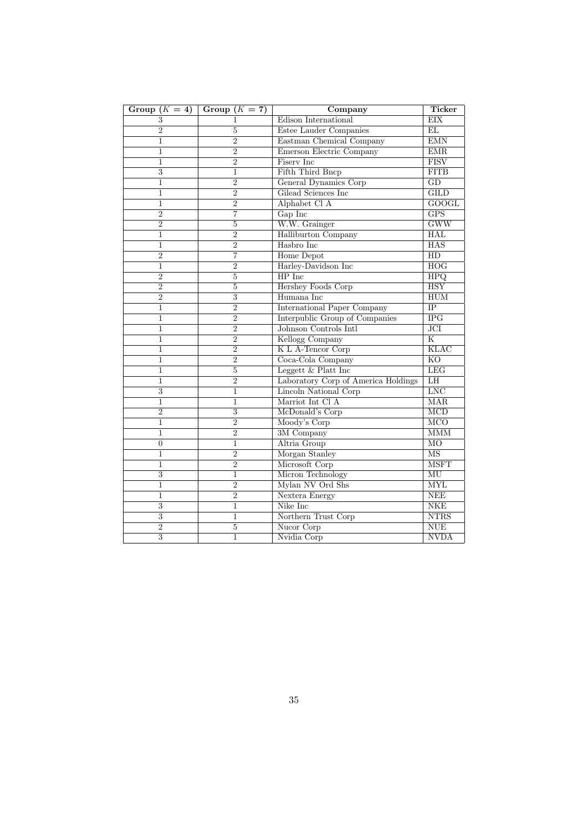| Group $(K = 4)$           | Group $(K = 7)$           | Company                             | Ticker                    |
|---------------------------|---------------------------|-------------------------------------|---------------------------|
| 3                         | 1                         | Edison International                | EIX                       |
| $\overline{2}$            | $\overline{5}$            | Estee Lauder Companies              | EL                        |
| $\mathbf{1}$              | $\overline{2}$            | Eastman Chemical Company            | EMN                       |
| $\mathbf{1}$              | $\overline{2}$            | Emerson Electric Company            | EMR                       |
| $\mathbf{1}$              | $\overline{2}$            | Fisery Inc                          | <b>FISV</b>               |
| 3                         | 1                         | Fifth Third Bncp                    | <b>FITB</b>               |
| $\overline{1}$            | $\overline{2}$            | General Dynamics Corp               | GD                        |
| $\mathbf 1$               | $\overline{2}$            | Gilead Sciences Inc                 | $\overline{\text{GILD}}$  |
| 1                         | $\overline{2}$            | Alphabet Cl A                       | <b>GOOGL</b>              |
| $\overline{2}$            | 7                         | Gap Inc                             | $\overline{\text{GPS}}$   |
| $\overline{2}$            | 5                         | W.W. Grainger                       | GWW                       |
| $\mathbf 1$               | $\overline{2}$            | Halliburton Company                 | <b>HAL</b>                |
| $\mathbf 1$               | $\overline{2}$            | Hasbro Inc                          | <b>HAS</b>                |
| $\overline{2}$            | $\overline{7}$            | Home Depot                          | $\overline{HD}$           |
| $\mathbf{1}$              | $\overline{2}$            | Harley-Davidson Inc                 | HOG                       |
| $\overline{2}$            | $\overline{5}$            | HP Inc                              | <b>HPQ</b>                |
| $\overline{2}$            | 5                         | <b>Hershey Foods Corp</b>           | <b>HSY</b>                |
| $\overline{2}$            | $\overline{3}$            | Humana Inc                          | HUM                       |
| $\mathbf{1}$              | $\overline{2}$            | <b>International Paper Company</b>  | $\overline{IP}$           |
| $\mathbf{1}$              | $\overline{2}$            | Interpublic Group of Companies      | $\overline{\text{IPG}}$   |
| $\mathbf{1}$              | $\overline{2}$            | Johnson Controls Intl               | $\overline{JCI}$          |
| 1                         | $\overline{2}$            | Kellogg Company                     | $\overline{\mathbf{K}}$   |
| $\mathbf{1}$              | $\overline{2}$            | K L A-Tencor Corp                   | KLAC                      |
| $\mathbf{1}$              | $\overline{2}$            | Coca-Cola Company                   | <b>KO</b>                 |
| 1                         | $\overline{5}$            | Leggett $&$ Platt Inc               | <b>LEG</b>                |
| $\mathbf 1$               | $\overline{2}$            | Laboratory Corp of America Holdings | LH                        |
| 3                         | $\mathbf 1$               | <b>Lincoln National Corp</b>        | <b>LNC</b>                |
| $\mathbf{1}$              | $\mathbf{1}$              | Marriot Int Cl A                    | <b>MAR</b>                |
| $\overline{2}$            | $\overline{\overline{3}}$ | McDonald's Corp                     | $\overline{\mathrm{MCD}}$ |
| $\mathbf{1}$              | $\overline{2}$            | Moody's Corp                        | $\overline{\text{MCO}}$   |
| $\mathbf 1$               | $\overline{2}$            | 3M Company                          | <b>MMM</b>                |
| $\overline{0}$            | 1                         | Altria Group                        | M <sub>O</sub>            |
| $\mathbf{1}$              | $\overline{2}$            | Morgan Stanley                      | <b>MS</b>                 |
| $\mathbf 1$               | $\overline{2}$            | Microsoft Corp                      | <b>MSFT</b>               |
| 3                         | 1                         | Micron Technology                   | MU                        |
| $\mathbf{1}$              | $\overline{2}$            | Mylan NV Ord Shs                    | <b>MYL</b>                |
| $\mathbf{1}$              | $\overline{2}$            | Nextera Energy                      | <b>NEE</b>                |
| 3                         | 1                         | Nike Inc                            | NKE                       |
| $\overline{\overline{3}}$ | 1                         | Northern Trust Corp                 | <b>NTRS</b>               |
| $\overline{2}$            | $\overline{5}$            | Nucor Corp                          | <b>NUE</b>                |
| $\overline{3}$            | $\mathbf{1}$              | Nvidia Corp                         | <b>NVDA</b>               |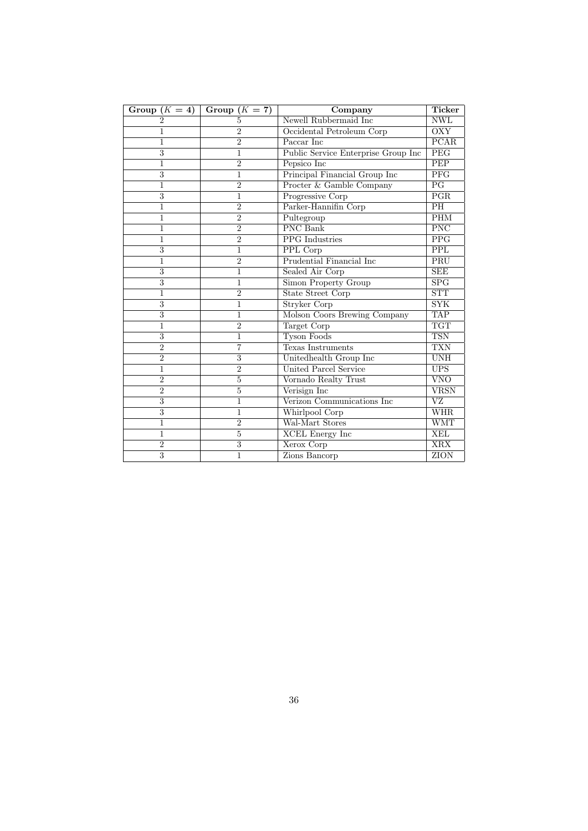| Group $(K = 4)$ | Group $(K = 7)$ | Company                             | <b>Ticker</b>           |
|-----------------|-----------------|-------------------------------------|-------------------------|
| 2               | 5               | Newell Rubbermaid Inc               | <b>NWL</b>              |
| 1               | $\overline{2}$  | Occidental Petroleum Corp           | <b>OXY</b>              |
| 1               | $\overline{2}$  | Paccar Inc                          | PCAR                    |
| $\overline{3}$  | 1               | Public Service Enterprise Group Inc | PEG                     |
| 1               | $\overline{2}$  | Pepsico Inc                         | <b>PEP</b>              |
| 3               | $\mathbf{1}$    | Principal Financial Group Inc       | PFG                     |
| 1               | $\overline{2}$  | Procter & Gamble Company            | PG                      |
| 3               | 1               | Progressive Corp                    | PGR                     |
| 1               | $\overline{2}$  | Parker-Hannifin Corp                | $\overline{PH}$         |
| 1               | $\overline{2}$  | Pultegroup                          | PHM                     |
| 1               | $\overline{2}$  | <b>PNC</b> Bank                     | <b>PNC</b>              |
| 1               | $\overline{2}$  | <b>PPG</b> Industries               | <b>PPG</b>              |
| 3               | 1               | PPL Corp                            | <b>PPL</b>              |
| $\mathbf 1$     | $\overline{2}$  | <b>Prudential Financial Inc</b>     | PRU                     |
| $\overline{3}$  | $\overline{1}$  | Sealed Air Corp                     | <b>SEE</b>              |
| 3               | 1               | Simon Property Group                | SPG                     |
| 1               | $\overline{2}$  | <b>State Street Corp</b>            | <b>STT</b>              |
| $\overline{3}$  | $\overline{1}$  | <b>Stryker Corp</b>                 | <b>SYK</b>              |
| $\overline{3}$  | $\mathbf{1}$    | Molson Coors Brewing Company        | <b>TAP</b>              |
| 1               | $\overline{2}$  | Target Corp                         | <b>TGT</b>              |
| 3               | 1               | <b>Tyson Foods</b>                  | <b>TSN</b>              |
| $\overline{2}$  | 7               | Texas Instruments                   | <b>TXN</b>              |
| $\overline{2}$  | 3               | Unitedhealth Group Inc              | <b>UNH</b>              |
| $\mathbf 1$     | $\overline{2}$  | United Parcel Service               | <b>UPS</b>              |
| $\overline{2}$  | 5               | Vornado Realty Trust                | $\overline{\text{VNO}}$ |
| $\overline{2}$  | 5               | Verisign Inc                        | <b>VRSN</b>             |
| 3               | 1               | Verizon Communications Inc          | VZ                      |
| 3               | 1               | Whirlpool Corp                      | <b>WHR</b>              |
| $\mathbf 1$     | $\overline{2}$  | Wal-Mart Stores                     | <b>WMT</b>              |
| 1               | $\overline{5}$  | <b>XCEL Energy Inc</b>              | <b>XEL</b>              |
| $\overline{2}$  | $\overline{3}$  | Xerox Corp                          | <b>XRX</b>              |
| 3               | $\overline{1}$  | Zions Bancorp                       | ZION                    |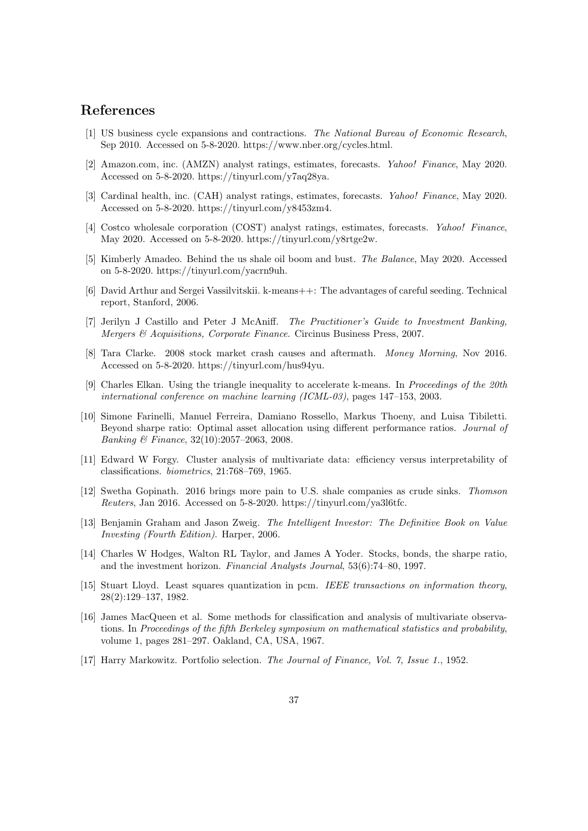## References

- [1] US business cycle expansions and contractions. The National Bureau of Economic Research, Sep 2010. Accessed on 5-8-2020. https://www.nber.org/cycles.html.
- [2] Amazon.com, inc. (AMZN) analyst ratings, estimates, forecasts. Yahoo! Finance, May 2020. Accessed on 5-8-2020. https://tinyurl.com/y7aq28ya.
- [3] Cardinal health, inc. (CAH) analyst ratings, estimates, forecasts. Yahoo! Finance, May 2020. Accessed on 5-8-2020. https://tinyurl.com/y8453zm4.
- [4] Costco wholesale corporation (COST) analyst ratings, estimates, forecasts. *Yahoo! Finance*, May 2020. Accessed on 5-8-2020. https://tinyurl.com/y8rtge2w.
- [5] Kimberly Amadeo. Behind the us shale oil boom and bust. The Balance, May 2020. Accessed on 5-8-2020. https://tinyurl.com/yacrn9uh.
- [6] David Arthur and Sergei Vassilvitskii. k-means++: The advantages of careful seeding. Technical report, Stanford, 2006.
- [7] Jerilyn J Castillo and Peter J McAniff. The Practitioner's Guide to Investment Banking, Mergers & Acquisitions, Corporate Finance. Circinus Business Press, 2007.
- [8] Tara Clarke. 2008 stock market crash causes and aftermath. Money Morning, Nov 2016. Accessed on 5-8-2020. https://tinyurl.com/hus94yu.
- [9] Charles Elkan. Using the triangle inequality to accelerate k-means. In Proceedings of the 20th international conference on machine learning (ICML-03), pages 147–153, 2003.
- [10] Simone Farinelli, Manuel Ferreira, Damiano Rossello, Markus Thoeny, and Luisa Tibiletti. Beyond sharpe ratio: Optimal asset allocation using different performance ratios. Journal of Banking & Finance, 32(10):2057–2063, 2008.
- [11] Edward W Forgy. Cluster analysis of multivariate data: efficiency versus interpretability of classifications. biometrics, 21:768–769, 1965.
- [12] Swetha Gopinath. 2016 brings more pain to U.S. shale companies as crude sinks. Thomson Reuters, Jan 2016. Accessed on 5-8-2020. https://tinyurl.com/ya3l6tfc.
- [13] Benjamin Graham and Jason Zweig. The Intelligent Investor: The Definitive Book on Value Investing (Fourth Edition). Harper, 2006.
- [14] Charles W Hodges, Walton RL Taylor, and James A Yoder. Stocks, bonds, the sharpe ratio, and the investment horizon. Financial Analysts Journal, 53(6):74–80, 1997.
- [15] Stuart Lloyd. Least squares quantization in pcm. IEEE transactions on information theory, 28(2):129–137, 1982.
- [16] James MacQueen et al. Some methods for classification and analysis of multivariate observations. In Proceedings of the fifth Berkeley symposium on mathematical statistics and probability, volume 1, pages 281–297. Oakland, CA, USA, 1967.
- [17] Harry Markowitz. Portfolio selection. The Journal of Finance, Vol. 7, Issue 1., 1952.